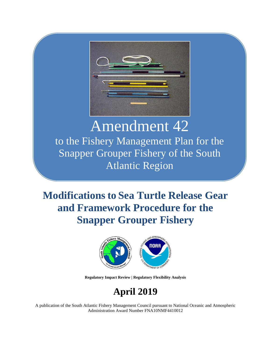

# Amendment 42

to the Fishery Management Plan for the Snapper Grouper Fishery of the South Atlantic Region

# **Modifications to Sea Turtle Release Gear and Framework Procedure for the Snapper Grouper Fishery**



**Regulatory Impact Review | Regulatory Flexibility Analysis**

# **April 2019**

A publication of the South Atlantic Fishery Management Council pursuant to National Oceanic and Atmospheric Administration Award Number FNA10NMF4410012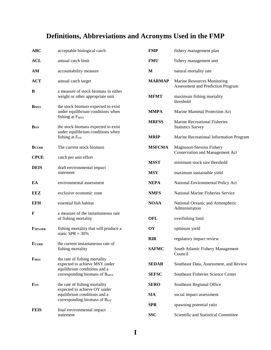# **Definitions, Abbreviations and Acronyms Used in the FMP**

| ABC                 | acceptable biological catch                                                                             | <b>FMP</b>    | fishery management plan                                            |
|---------------------|---------------------------------------------------------------------------------------------------------|---------------|--------------------------------------------------------------------|
| ACL                 | annual catch limit                                                                                      | <b>FMU</b>    | fishery management unit                                            |
| AМ                  | accountability measure                                                                                  | M             | natural mortality rate                                             |
| <b>ACT</b>          | annual catch target                                                                                     | <b>MARMAP</b> | Marine Resources Monitoring<br>Assessment and Prediction Program   |
| B                   | a measure of stock biomass in either<br>weight or other appropriate unit                                | <b>MFMT</b>   | maximum fishing mortality<br>threshold                             |
| <b>BMSY</b>         | the stock biomass expected to exist<br>under equilibrium conditions when<br>fishing at F <sub>MSY</sub> | <b>MMPA</b>   | Marine Mammal Protection Act                                       |
| Boy                 | the stock biomass expected to exist                                                                     | <b>MRFSS</b>  | Marine Recreational Fisheries<br><b>Statistics Survey</b>          |
|                     | under equilibrium conditions when<br>fishing at Foy                                                     | <b>MRIP</b>   | Marine Recreational Information Program                            |
| <b>BCURR</b>        | The current stock biomass                                                                               | <b>MSFCMA</b> | Magnuson-Stevens Fishery<br><b>Conservation and Management Act</b> |
| <b>CPUE</b>         | catch per unit effort                                                                                   | <b>MSST</b>   | minimum stock size threshold                                       |
| <b>DEIS</b>         | draft environmental impact<br>statement                                                                 | <b>MSY</b>    | maximum sustainable yield                                          |
| EA                  | environmental assessment                                                                                | <b>NEPA</b>   | National Environmental Policy Act                                  |
| EEZ                 | exclusive economic zone                                                                                 | <b>NMFS</b>   | National Marine Fisheries Service                                  |
| EFH                 | essential fish habitat                                                                                  | <b>NOAA</b>   | National Oceanic and Atmospheric<br>Administration                 |
| F                   | a measure of the instantaneous rate<br>of fishing mortality                                             | <b>OFL</b>    | overfishing limit                                                  |
| F <sub>30%SPR</sub> | fishing mortality that will produce a<br>static $SPR = 30\%$                                            | OY            | optimum yield                                                      |
| FCURR               | the current instantaneous rate of                                                                       | <b>RIR</b>    | regulatory impact review                                           |
|                     | fishing mortality                                                                                       | <b>SAFMC</b>  | South Atlantic Fishery Management<br>Council                       |
| F <sub>MSY</sub>    | the rate of fishing mortality<br>expected to achieve MSY under<br>equilibrium conditions and a          | <b>SEDAR</b>  | Southeast Data, Assessment, and Review                             |
|                     | corresponding biomass of B <sub>MSY</sub>                                                               | <b>SEFSC</b>  | Southeast Fisheries Science Center                                 |
| Foy                 | the rate of fishing mortality<br>expected to achieve OY under                                           | <b>SERO</b>   | Southeast Regional Office                                          |
|                     | equilibrium conditions and a<br>corresponding biomass of B <sub>OY</sub>                                | <b>SIA</b>    | social impact assessment                                           |
|                     |                                                                                                         | <b>SPR</b>    | spawning potential ratio                                           |
| <b>FEIS</b>         | final environmental impact<br>statement                                                                 | <b>SSC</b>    | Scientific and Statistical Committee                               |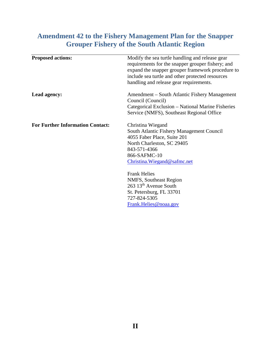# **Amendment 42 to the Fishery Management Plan for the Snapper Grouper Fishery of the South Atlantic Region**

| <b>Proposed actions:</b>                | Modify the sea turtle handling and release gear<br>requirements for the snapper grouper fishery; and<br>expand the snapper grouper framework procedure to<br>include sea turtle and other protected resources<br>handling and release gear requirements. |
|-----------------------------------------|----------------------------------------------------------------------------------------------------------------------------------------------------------------------------------------------------------------------------------------------------------|
| Lead agency:                            | Amendment – South Atlantic Fishery Management<br>Council (Council)<br>Categorical Exclusion - National Marine Fisheries<br>Service (NMFS), Southeast Regional Office                                                                                     |
| <b>For Further Information Contact:</b> | Christina Wiegand<br>South Atlantic Fishery Management Council<br>4055 Faber Place, Suite 201<br>North Charleston, SC 29405<br>843-571-4366<br>866-SAFMC-10<br>Christina. Wiegand@safmc.net                                                              |
|                                         | <b>Frank Helies</b><br>NMFS, Southeast Region<br>263 13 <sup>th</sup> Avenue South<br>St. Petersburg, FL 33701<br>727-824-5305<br>Frank.Helies@noaa.gov                                                                                                  |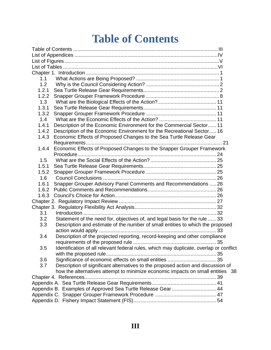# **Table of Contents**

<span id="page-3-0"></span>

| 1.1                                                                                     |  |
|-----------------------------------------------------------------------------------------|--|
| 1.2                                                                                     |  |
| 1.2.1                                                                                   |  |
| 1.2.2                                                                                   |  |
| 1.3                                                                                     |  |
| 1.3.1                                                                                   |  |
| 1.3.2                                                                                   |  |
| 1.4                                                                                     |  |
| Description of the Economic Environment for the Commercial Sector 11<br>1.4.1           |  |
| Description of the Economic Environment for the Recreational Sector 16<br>1.4.2         |  |
| Economic Effects of Proposed Changes to the Sea Turtle Release Gear<br>1.4.3            |  |
|                                                                                         |  |
| Economic Effects of Proposed Changes to the Snapper Grouper Framework<br>1.4.4          |  |
|                                                                                         |  |
| 1.5                                                                                     |  |
| 1.5.1                                                                                   |  |
| 1.5.2                                                                                   |  |
| 1.6                                                                                     |  |
| Snapper Grouper Advisory Panel Comments and Recommendations  26<br>1.6.1                |  |
| 1.6.2                                                                                   |  |
| 1.6.3                                                                                   |  |
|                                                                                         |  |
|                                                                                         |  |
| 3.1                                                                                     |  |
| 3.2<br>Statement of the need for, objectives of, and legal basis for the rule 33        |  |
| Description and estimate of the number of small entities to which the proposed<br>3.3   |  |
|                                                                                         |  |
| Description of the projected reporting, record-keeping and other compliance<br>3.4      |  |
|                                                                                         |  |
| 3.5                                                                                     |  |
|                                                                                         |  |
| 3.6                                                                                     |  |
| Description of significant alternatives to the proposed action and discussion of<br>3.7 |  |
| how the alternatives attempt to minimize economic impacts on small entities 38          |  |
|                                                                                         |  |
|                                                                                         |  |
| Appendix B. Examples of Approved Sea Turtle Release Gear  44                            |  |
|                                                                                         |  |
|                                                                                         |  |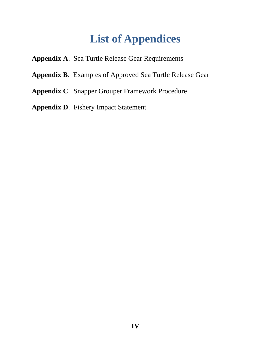# **List of Appendices**

- <span id="page-4-0"></span>**Appendix A**. Sea Turtle Release Gear Requirements
- **Appendix B**. Examples of Approved Sea Turtle Release Gear
- **Appendix C**. Snapper Grouper Framework Procedure
- **Appendix D**. Fishery Impact Statement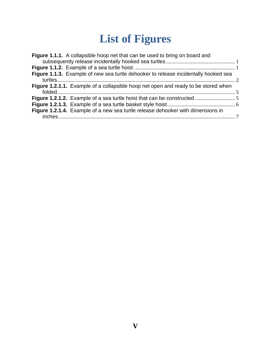# **List of Figures**

<span id="page-5-0"></span>

| Figure 1.1.1. A collapsible hoop net that can be used to bring on board and         |  |
|-------------------------------------------------------------------------------------|--|
|                                                                                     |  |
| Figure 1.1.3. Example of new sea turtle dehooker to release incidentally hooked sea |  |
| Figure 1.2.1.1. Example of a collapsible hoop net open and ready to be stored when  |  |
|                                                                                     |  |
|                                                                                     |  |
| Figure 1.2.1.4. Example of a new sea turtle release dehooker with dimensions in     |  |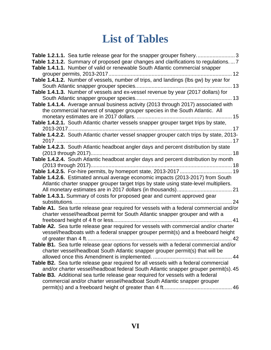# **List of Tables**

<span id="page-6-0"></span>

| Table 1.2.1.2. Summary of proposed gear changes and clarifications to regulations 7<br>Table 1.4.1.1. Number of valid or renewable South Atlantic commercial snapper                                                                                            |
|-----------------------------------------------------------------------------------------------------------------------------------------------------------------------------------------------------------------------------------------------------------------|
| Table 1.4.1.2. Number of vessels, number of trips, and landings (lbs gw) by year for                                                                                                                                                                            |
| Table 1.4.1.3. Number of vessels and ex-vessel revenue by year (2017 dollars) for                                                                                                                                                                               |
| Table 1.4.1.4. Average annual business activity (2013 through 2017) associated with<br>the commercial harvest of snapper grouper species in the South Atlantic. All                                                                                             |
| Table 1.4.2.1. South Atlantic charter vessels snapper grouper target trips by state,                                                                                                                                                                            |
| Table 1.4.2.2. South Atlantic charter vessel snapper grouper catch trips by state, 2013-                                                                                                                                                                        |
| Table 1.4.2.3. South Atlantic headboat angler days and percent distribution by state<br>Table 1.4.2.4. South Atlantic headboat angler days and percent distribution by month                                                                                    |
|                                                                                                                                                                                                                                                                 |
| Table 1.4.2.6. Estimated annual average economic impacts (2013-2017) from South<br>Atlantic charter snapper grouper target trips by state using state-level multipliers.                                                                                        |
| Table 1.4.3.1. Summary of costs for proposed gear and current approved gear<br>24<br>substitutions.                                                                                                                                                             |
| Table A1. Sea turtle release gear required for vessels with a federal commercial and/or<br>charter vessel/headboat permit for South Atlantic snapper grouper and with a                                                                                         |
| Table A2. Sea turtle release gear required for vessels with commercial and/or charter<br>vessel/headboats with a federal snapper grouper permit(s) and a freeboard height<br>of greater than 4 ft<br>42                                                         |
| Table B1. Sea turtle release gear options for vessels with a federal commercial and/or<br>charter vessel/headboat South Atlantic snapper grouper permit(s) that will be<br>allowed once this Amendment is implemented<br>44                                     |
| Table B2. Sea turtle release gear required for all vessels with a federal commercial<br>and/or charter vessel/headboat federal South Atlantic snapper grouper permit(s). 45<br>Table B3. Additional sea turtle release gear required for vessels with a federal |
| commercial and/or charter vessel/headboat South Atlantic snapper grouper<br>46                                                                                                                                                                                  |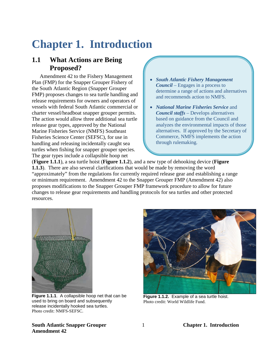# <span id="page-7-0"></span>**Chapter 1. Introduction**

### <span id="page-7-1"></span>**1.1 What Actions are Being Proposed?**

Amendment 42 to the Fishery Management Plan (FMP) for the Snapper Grouper Fishery of the South Atlantic Region (Snapper Grouper FMP) proposes changes to sea turtle handling and release requirements for owners and operators of vessels with federal South Atlantic commercial or charter vessel/headboat snapper grouper permits. The action would allow three additional sea turtle release gear types, approved by the National Marine Fisheries Service (NMFS) Southeast Fisheries Science Center (SEFSC), for use in handling and releasing incidentally caught sea turtles when fishing for snapper grouper species. The gear types include a collapsible hoop net

- *South Atlantic Fishery Management Council* – Engages in a process to determine a range of actions and alternatives and recommends action to NMFS.
- *National Marine Fisheries Service* and *Council staffs* – Develops alternatives based on guidance from the Council and analyzes the environmental impacts of those alternatives. If approved by the Secretary of Commerce, NMFS implements the action through rulemaking.

(**Figure 1.1.1**), a sea turtle hoist (**Figure 1.1.2**), and a new type of dehooking device (**Figure 1.1.3**). There are also several clarifications that would be made by removing the word "approximately" from the regulations for currently required release gear and establishing a range or minimum requirement. Amendment 42 to the Snapper Grouper FMP (Amendment 42) also proposes modifications to the Snapper Grouper FMP framework procedure to allow for future changes to release gear requirements and handling protocols for sea turtles and other protected resources.



**Figure 1.1.1**. A collapsible hoop net that can be used to bring on board and subsequently release incidentally hooked sea turtles. Photo credit: NMFS-SEFSC.

<span id="page-7-3"></span>

**Figure 1.1.2.** Example of a sea turtle hoist. Photo credit: World Wildlife Fund.

#### <span id="page-7-2"></span>**South Atlantic Snapper Grouper** 1 **Chapter 1. Introduction Amendment 42**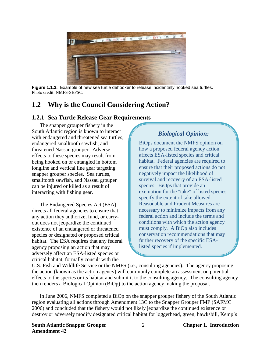

**Figure 1.1.3.** Example of new sea turtle dehooker to release incidentally hooked sea turtles. Photo credit: NMFS-SEFSC.

# <span id="page-8-2"></span><span id="page-8-0"></span>**1.2 Why is the Council Considering Action?**

#### <span id="page-8-1"></span>**1.2.1 Sea Turtle Release Gear Requirements**

The snapper grouper fishery in the South Atlantic region is known to interact with endangered and threatened sea turtles, endangered smalltooth sawfish, and threatened Nassau grouper. Adverse effects to these species may result from being hooked on or entangled in bottom longline and vertical line gear targeting snapper grouper species. Sea turtles, smalltooth sawfish, and Nassau grouper can be injured or killed as a result of interacting with fishing gear.

The Endangered Species Act (ESA) directs all federal agencies to ensure that any action they authorize, fund, or carryout does not jeopardize the continued existence of an endangered or threatened species or designated or proposed critical habitat. The ESA requires that any federal agency proposing an action that may adversely affect an ESA-listed species or critical habitat, formally consult with the

### *Biological Opinion:*

BiOps document the NMFS opinion on how a proposed federal agency action affects ESA-listed species and critical habitat. Federal agencies are required to ensure that their proposed actions do not negatively impact the likelihood of survival and recovery of an ESA-listed species. BiOps that provide an exemption for the "take" of listed species specify the extent of take allowed. Reasonable and Prudent Measures are necessary to minimize impacts from any federal action and include the terms and conditions with which the action agency must comply. A BiOp also includes conservation recommendations that may further recovery of the specific ESAlisted species if implemented.

U.S. Fish and Wildlife Service or the NMFS (i.e., consulting agencies). The agency proposing the action (known as the action agency) will commonly complete an assessment on potential effects to the species or its habitat and submit it to the consulting agency. The consulting agency then renders a Biological Opinion (BiOp) to the action agency making the proposal.

In June 2006, NMFS completed a BiOp on the snapper grouper fishery of the South Atlantic region evaluating all actions through Amendment 13C to the Snapper Grouper FMP (SAFMC 2006) and concluded that the fishery would not likely jeopardize the continued existence or destroy or adversely modify designated critical habitat for loggerhead, green, hawksbill, Kemp's

**South Atlantic Snapper Grouper** 2 **Chapter 1. Introduction Amendment 42**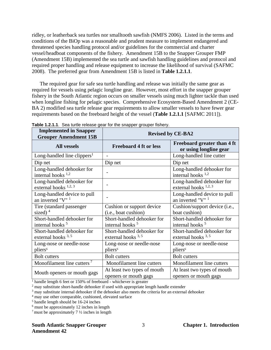ridley, or leatherback sea turtles nor smalltooth sawfish (NMFS 2006). Listed in the terms and conditions of the BiOp was a reasonable and prudent measure to implement endangered and threatened species handling protocol and/or guidelines for the commercial and charter vessel/headboat components of the fishery. Amendment 15B to the Snapper Grouper FMP (Amendment 15B) implemented the sea turtle and sawfish handling guidelines and protocol and required proper handling and release equipment to increase the likelihood of survival (SAFMC 2008). The preferred gear from Amendment 15B is listed in **Table 1.2.1.1**.

The required gear for safe sea turtle handling and release was initially the same gear as required for vessels using pelagic longline gear. However, most effort in the snapper grouper fishery in the South Atlantic region occurs on smaller vessels using much lighter tackle than used when longline fishing for pelagic species. Comprehensive Ecosystem-Based Amendment 2 (CE-BA 2) modified sea turtle release gear requirements to allow smaller vessels to have fewer gear requirements based on the freeboard height of the vessel (**Table 1.2.1.1** [SAFMC 2011]).

| <b>Implemented in Snapper</b><br><b>Grouper Amendment 15B</b>   |                                                           | <b>Revised by CE-BA2</b>                                        |
|-----------------------------------------------------------------|-----------------------------------------------------------|-----------------------------------------------------------------|
| <b>All vessels</b>                                              | <b>Freeboard 4 ft or less</b>                             | Freeboard greater than 4 ft<br>or using longline gear           |
| Long-handled line clippers <sup>1</sup>                         |                                                           | Long-handled line cutter                                        |
| Dip net                                                         | Dip net                                                   | Dip net                                                         |
| Long-handled dehooker for<br>internal hooks $1,2$               |                                                           | Long-handled dehooker for<br>internal hooks $1,2$               |
| Long-handled dehooker for<br>external hooks $1,2,3$             |                                                           | Long-handled dehooker for<br>external hooks $1,2,3$             |
| Long-handled device to pull<br>an inverted " $V$ " <sup>1</sup> |                                                           | Long-handled device to pull<br>an inverted " $V$ " <sup>1</sup> |
| Tire (standard passenger)<br>sized) $4$                         | Cushion or support device<br>(i.e., boat cushion)         | Cushion/support device (i.e.,<br>boat cushion)                  |
| Short-handled dehooker for<br>internal hooks <sup>5</sup>       | Short-handled dehooker for<br>internal hooks <sup>5</sup> | Short-handled dehooker for<br>internal hooks <sup>5</sup>       |
| Short-handled dehooker for<br>external hooks $3, 5$             | Short-handled dehooker for<br>external hooks $3, 5$       | Short-handled dehooker for<br>external hooks $3,5$              |
| Long-nose or needle-nose<br>pliers <sup>6</sup>                 | Long-nose or needle-nose<br>pliers <sup>6</sup>           | Long-nose or needle-nose<br>pliers <sup>6</sup>                 |
| <b>Bolt cutters</b>                                             | <b>Bolt cutters</b>                                       | <b>Bolt cutters</b>                                             |
| Monofilament line cutters <sup>7</sup>                          | Monofilament line cutters                                 | Monofilament line cutters                                       |
| Mouth openers or mouth gags                                     | At least two types of mouth<br>openers or mouth gags      | At least two types of mouth<br>openers or mouth gags            |

<span id="page-9-0"></span>

| Table 1.2.1.1. Sea turtle release gear for the snapper grouper fishery. |  |
|-------------------------------------------------------------------------|--|
|-------------------------------------------------------------------------|--|

 $\frac{1}{1}$  handle length 6 feet or 150% of freeboard - whichever is greater

<sup>2</sup> may substitute short-handle dehooker if used with appropriate length handle extender

 $3 \text{ may substitute internal dehooker if the dehooker also meets the criteria for an external dehooker }$ 

<sup>4</sup> may use other comparable, cushioned, elevated surface

<sup>5</sup> handle length should be 16-24 inches

<sup>6</sup> must be approximately 12 inches in length

 $^7$  must be approximately 7  $\frac{1}{2}$  inches in length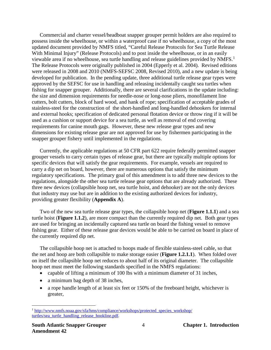Commercial and charter vessel/headboat snapper grouper permit holders are also required to possess inside the wheelhouse, or within a waterproof case if no wheelhouse, a copy of the most updated document provided by NMFS titled, "Careful Release Protocols for Sea Turtle Release With Minimal Injury" (Release Protocols) and to post inside the wheelhouse, or in an easily viewable area if no wheelhouse, sea turtle handling and release guidelines provided by NMFS.<sup>[1](#page-10-0)</sup> The Release Protocols were originally published in 2004 (Epperly et al. 2004). Revised editions were released in 2008 and 2010 (NMFS-SEFSC 2008, Revised 2010), and a new update is being developed for publication. In the pending update, three additional turtle release gear types were approved by the SEFSC for use in handling and releasing incidentally caught sea turtles when fishing for snapper grouper. Additionally, there are several clarifications in the update including: the size and dimension requirements for needle-nose or long-nose pliers, monofilament line cutters, bolt cutters, block of hard wood, and hank of rope; specification of acceptable grades of stainless-steel for the construction of the short-handled and long-handled dehookers for internal and external hooks; specification of dedicated personal flotation device or throw ring if it will be used as a cushion or support device for a sea turtle, as well as removal of end covering requirements for canine mouth gags. However, these new release gear types and new dimensions for existing release gear are not approved for use by fishermen participating in the snapper grouper fishery until implemented in the regulations.

Currently, the applicable regulations at 50 CFR part 622 require federally permitted snapper grouper vessels to carry certain types of release gear, but there are typically multiple options for specific devices that will satisfy the gear requirements. For example, vessels are required to carry a dip net on board, however, there are numerous options that satisfy the minimum regulatory specifications. The primary goal of this amendment is to add three new devices to the regulations, alongside the other sea turtle release gear options that are already authorized. These three new devices (collapsible hoop net, sea turtle hoist, and dehooker) are not the only devices that industry may use but are in addition to the existing authorized devices for industry, providing greater flexibility (**Appendix A**).

Two of the new sea turtle release gear types, the collapsible hoop net (**Figure 1.1.1**) and a sea turtle hoist (**Figure 1.1.2**), are more compact than the currently required dip net. Both gear types are used for bringing an incidentally captured sea turtle on board the fishing vessel to remove fishing gear. Either of these release gear devices would be able to be carried on board in place of the currently required dip net.

The collapsible hoop net is attached to hoops made of flexible stainless-steel cable, so that the net and hoop are both collapsible to make storage easier (**Figure 1.2.1.1**). When folded over on itself the collapsible hoop net reduces to about half of its original diameter. The collapsible hoop net must meet the following standards specified in the NMFS regulations:

- capable of lifting a minimum of 100 lbs with a minimum diameter of 31 inches,
- a minimum bag depth of 38 inches,
- a rope handle length of at least six feet or 150% of the freeboard height, whichever is greater,

<span id="page-10-0"></span> $\overline{a}$ <sup>1</sup> http://www.nmfs.noaa.gov/sfa/hms/compliance/workshops/protected\_species\_workshop/ [turtles/sea\\_turtle\\_handling\\_release\\_hookline.pdf.](http://www.nmfs.noaa.gov/sfa/hms/compliance/workshops/protected_species_workshop/%20turtles/sea_turtle_handling_release_hookline.pdf)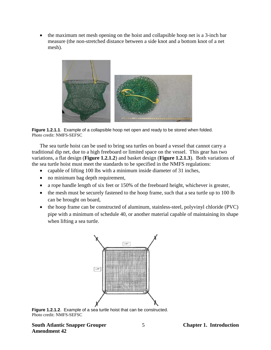• the maximum net mesh opening on the hoist and collapsible hoop net is a 3-inch bar measure (the non-stretched distance between a side knot and a bottom knot of a net mesh).



**Figure 1.2.1.1**. Example of a collapsible hoop net open and ready to be stored when folded. Photo credit: NMFS-SEFSC

<span id="page-11-0"></span>The sea turtle hoist can be used to bring sea turtles on board a vessel that cannot carry a traditional dip net, due to a high freeboard or limited space on the vessel. This gear has two variations, a flat design (**Figure 1.2.1.2**) and basket design (**Figure 1.2.1.3**). Both variations of the sea turtle hoist must meet the standards to be specified in the NMFS regulations:

- capable of lifting 100 lbs with a minimum inside diameter of 31 inches,
- no minimum bag depth requirement,
- a rope handle length of six feet or 150% of the freeboard height, whichever is greater,
- the mesh must be securely fastened to the hoop frame, such that a sea turtle up to 100 lb can be brought on board,
- the hoop frame can be constructed of aluminum, stainless-steel, polyvinyl chloride (PVC) pipe with a minimum of schedule 40, or another material capable of maintaining its shape when lifting a sea turtle.



<span id="page-11-1"></span>**Figure 1.2.1.2**. Example of a sea turtle hoist that can be constructed. Photo credit: NMFS-SEFSC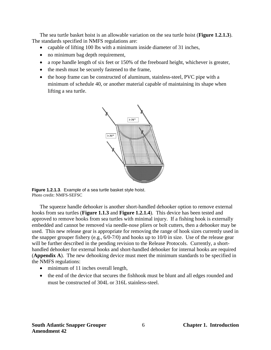The sea turtle basket hoist is an allowable variation on the sea turtle hoist (**Figure 1.2.1.3**). The standards specified in NMFS regulations are:

- capable of lifting 100 lbs with a minimum inside diameter of 31 inches,
- no minimum bag depth requirement,
- a rope handle length of six feet or 150% of the freeboard height, whichever is greater,
- the mesh must be securely fastened to the frame,
- the hoop frame can be constructed of aluminum, stainless-steel, PVC pipe with a minimum of schedule 40, or another material capable of maintaining its shape when lifting a sea turtle.



<span id="page-12-0"></span>**Figure 1.2.1.3**. Example of a sea turtle basket style hoist. Photo credit: NMFS-SEFSC

The squeeze handle dehooker is another short-handled dehooker option to remove external hooks from sea turtles (**Figure 1.1.3** and **Figure 1.2.1.4**). This device has been tested and approved to remove hooks from sea turtles with minimal injury. If a fishing hook is externally embedded and cannot be removed via needle-nose pliers or bolt cutters, then a dehooker may be used. This new release gear is appropriate for removing the range of hook sizes currently used in the snapper grouper fishery (e.g., 6/0-7/0) and hooks up to 10/0 in size. Use of the release gear will be further described in the pending revision to the Release Protocols. Currently, a shorthandled dehooker for external hooks and short-handled dehooker for internal hooks are required (**Appendix A**). The new dehooking device must meet the minimum standards to be specified in the NMFS regulations:

- minimum of 11 inches overall length,
- the end of the device that secures the fishhook must be blunt and all edges rounded and must be constructed of 304L or 316L stainless-steel.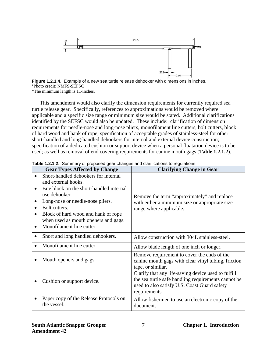

<span id="page-13-0"></span>**Figure 1.2.1.4**. Example of a new sea turtle release dehooker with dimensions in inches. \*Photo credit: NMFS-SEFSC

\*The minimum length is 11-inches.

This amendment would also clarify the dimension requirements for currently required sea turtle release gear. Specifically, references to approximations would be removed where applicable and a specific size range or minimum size would be stated. Additional clarifications identified by the SEFSC would also be updated. These include: clarification of dimension requirements for needle-nose and long-nose pliers, monofilament line cutters, bolt cutters, block of hard wood and hank of rope; specification of acceptable grades of stainless-steel for other short-handled and long-handled dehookers for internal and external device construction; specification of a dedicated cushion or support device when a personal floatation device is to be used; as well as removal of end covering requirements for canine mouth gags (**Table 1.2.1.2**).

| <b>Gear Types Affected by Change</b>                                                                                                                                                                                                                                                                                                                       | <b>Table T.E. T.E.</b> Cammany of proposed gear enanges and elannoatens to regulatens.<br><b>Clarifying Change in Gear</b>                                                  |
|------------------------------------------------------------------------------------------------------------------------------------------------------------------------------------------------------------------------------------------------------------------------------------------------------------------------------------------------------------|-----------------------------------------------------------------------------------------------------------------------------------------------------------------------------|
| Short-handled dehookers for internal<br>$\bullet$<br>and external hooks.<br>Bite block on the short-handled internal<br>$\bullet$<br>use dehooker.<br>Long-nose or needle-nose pliers.<br>Bolt cutters.<br>$\bullet$<br>Block of hard wood and hank of rope<br>$\bullet$<br>when used as mouth openers and gags.<br>Monofilament line cutter.<br>$\bullet$ | Remove the term "approximately" and replace<br>with either a minimum size or appropriate size<br>range where applicable.                                                    |
| Short and long handled dehookers.                                                                                                                                                                                                                                                                                                                          | Allow construction with 304L stainless-steel.                                                                                                                               |
| Monofilament line cutter.                                                                                                                                                                                                                                                                                                                                  | Allow blade length of one inch or longer.                                                                                                                                   |
| Mouth openers and gags.                                                                                                                                                                                                                                                                                                                                    | Remove requirement to cover the ends of the<br>canine mouth gags with clear vinyl tubing, friction<br>tape, or similar.                                                     |
| Cushion or support device.                                                                                                                                                                                                                                                                                                                                 | Clarify that any life-saving device used to fulfill<br>the sea turtle safe handling requirements cannot be<br>used to also satisfy U.S. Coast Guard safety<br>requirements. |
| Paper copy of the Release Protocols on<br>the vessel.                                                                                                                                                                                                                                                                                                      | Allow fishermen to use an electronic copy of the<br>document.                                                                                                               |

<span id="page-13-1"></span>**Table 1.2.1.2**.Summary of proposed gear changes and clarifications to regulations.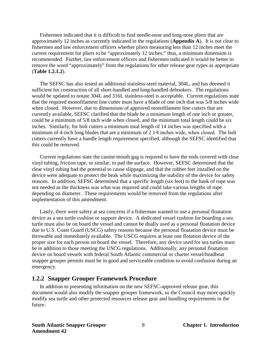Fishermen indicated that it is difficult to find needle-nose and long-nose pliers that are approximately 12 inches as currently indicated in the regulations (**Appendix A**). It is not clear to fishermen and law enforcement officers whether pliers measuring less than 12 inches meet the current requirement for pliers to be "approximately 12 inches;" thus, a minimum dimension is recommended. Further, law enforcement officers and fishermen indicated it would be better to remove the word "approximately" from the regulations for other release gear types as appropriate (**Table 1.2.1.2**).

The SEFSC has also tested an additional stainless-steel material, 304L, and has deemed it sufficient for construction of all short-handled and long-handled dehookers. The regulations would be updated to notate 304L and 316L stainless-steel is acceptable. Current regulations state that the required monofilament line cutter must have a blade of one inch that was 5/8 inches wide when closed. However, due to dimensions of approved monofilament line cutters that are currently available, SEFSC clarified that the blade be a minimum length of one inch or greater, could be a minimum of 5/8 inch wide when closed, and the minimum total length could be six inches. Similarly, for bolt cutters a minimum total length of 14 inches was specified with a minimum of 4-inch long blades that are a minimum of 2 1⁄4 inches wide, when closed. The bolt cutters currently have a handle length requirement specified, although the SEFSC identified that this could be removed.

Current regulations state the canine mouth gag is required to have the ends covered with clear vinyl tubing, friction tape, or similar, to pad the surface. However, SEFSC determined that the clear vinyl tubing had the potential to cause slippage, and that the rubber feet installed on the device were adequate to protect the beak while maximizing the stability of the device for safety reasons. In addition, SEFSC determined that a specific length (six feet) to the hank of rope was not needed as the thickness was what was required and could take various lengths of rope depending on diameter. These requirements would be removed from the regulations after implementation of this amendment.

Lastly, there were safety at sea concerns if a fisherman wanted to use a personal floatation device as a sea turtle cushion or support device. A dedicated vessel cushion for boarding a sea turtle must also be on board the vessel and cannot be dually used as a personal floatation device due to U.S. Coast Guard (USCG) safety reasons because the personal floatation device must be throwable and immediately available. The USCG requires at least one flotation device of the proper size for each person on board the vessel. Therefore, any device used for sea turtles must be in addition to those meeting the USCG regulations. Additionally, any personal floatation device on board vessels with federal South Atlantic commercial or charter vessel/headboat snapper grouper permits must be in good and serviceable condition to avoid confusion during an emergency.

#### <span id="page-14-0"></span>**1.2.2 Snapper Grouper Framework Procedure**

In addition to presenting information on the new SEFSC-approved release gear, this document would also modify the snapper grouper framework, so the Council may more quickly modify sea turtle and other protected resources release gear and handling requirements in the future.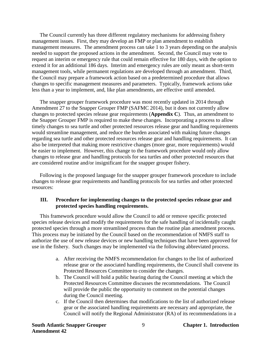The Council currently has three different regulatory mechanisms for addressing fishery management issues. First, they may develop an FMP or plan amendment to establish management measures. The amendment process can take 1 to 3 years depending on the analysis needed to support the proposed actions in the amendment. Second, the Council may vote to request an interim or emergency rule that could remain effective for 180 days, with the option to extend it for an additional 186 days. Interim and emergency rules are only meant as short-term management tools, while permanent regulations are developed through an amendment. Third, the Council may prepare a framework action based on a predetermined procedure that allows changes to specific management measures and parameters. Typically, framework actions take less than a year to implement, and, like plan amendments, are effective until amended.

The snapper grouper framework procedure was most recently updated in 2014 through Amendment 27 to the Snapper Grouper FMP (SAFMC 2014), but it does not currently allow changes to protected species release gear requirements (**Appendix C**). Thus, an amendment to the Snapper Grouper FMP is required to make these changes. Incorporating a process to allow timely changes to sea turtle and other protected resources release gear and handling requirements would streamline management, and reduce the burden associated with making future changes regarding sea turtle and other protected resources release gear and handling requirements. It can also be interpreted that making more restrictive changes (more gear, more requirements) would be easier to implement. However, this change to the framework procedure would only allow changes to release gear and handling protocols for sea turtles and other protected resources that are considered routine and/or insignificant for the snapper grouper fishery.

Following is the proposed language for the snapper grouper framework procedure to include changes to release gear requirements and handling protocols for sea turtles and other protected resources:

#### **III. Procedure for implementing changes to the protected species release gear and protected species handling requirements.**

This framework procedure would allow the Council to add or remove specific protected species release devices and modify the requirements for the safe handling of incidentally caught protected species through a more streamlined process than the routine plan amendment process. This process may be initiated by the Council based on the recommendation of NMFS staff to authorize the use of new release devices or new handling techniques that have been approved for use in the fishery. Such changes may be implemented via the following abbreviated process.

- a. After receiving the NMFS recommendation for changes to the list of authorized release gear or the associated handling requirements, the Council shall convene its Protected Resources Committee to consider the changes.
- b. The Council will hold a public hearing during the Council meeting at which the Protected Resources Committee discusses the recommendations. The Council will provide the public the opportunity to comment on the potential changes during the Council meeting.
- c. If the Council then determines that modifications to the list of authorized release gear or the associated handling requirements are necessary and appropriate, the Council will notify the Regional Administrator (RA) of its recommendations in a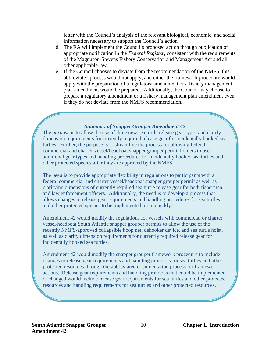letter with the Council's analysis of the relevant biological, economic, and social information necessary to support the Council's action.

- d. The RA will implement the Council's proposed action through publication of appropriate notification in the *Federal Register*, consistent with the requirements of the Magnuson-Stevens Fishery Conservation and Management Act and all other applicable law.
- e. If the Council chooses to deviate from the recommendation of the NMFS, this abbreviated process would not apply, and either the framework procedure would apply with the preparation of a regulatory amendment or a fishery management plan amendment would be prepared. Additionally, the Council may choose to prepare a regulatory amendment or a fishery management plan amendment even if they do not deviate from the NMFS recommendation.

#### *Summary of Snapper Grouper Amendment 42*

The *purpose* is to allow the use of three new sea turtle release gear types and clarify dimension requirements for currently required release gear for incidentally hooked sea turtles. Further, the purpose is to streamline the process for allowing federal commercial and charter vessel/headboat snapper grouper permit holders to use additional gear types and handling procedures for incidentally hooked sea turtles and other protected species after they are approved by the NMFS.

The *need* is to provide appropriate flexibility in regulations to participants with a federal commercial and charter vessel/headboat snapper grouper permit as well as clarifying dimensions of currently required sea turtle release gear for both fishermen and law enforcement officers. Additionally, the need is to develop a process that allows changes in release gear requirements and handling procedures for sea turtles and other protected species to be implemented more quickly.

Amendment 42 would modify the regulations for vessels with commercial or charter vessel/headboat South Atlantic snapper grouper permits to allow the use of the recently NMFS-approved collapsible hoop net, dehooker device, and sea turtle hoist, as well as clarify dimension requirements for currently required release gear for incidentally hooked sea turtles.

Amendment 42 would modify the snapper grouper framework procedure to include changes to release gear requirements and handling protocols for sea turtles and other protected resources through the abbreviated documentation process for framework actions. Release gear requirements and handling protocols that could be implemented or changed would include release gear requirements for sea turtles and other protected resources and handling requirements for sea turtles and other protected resources.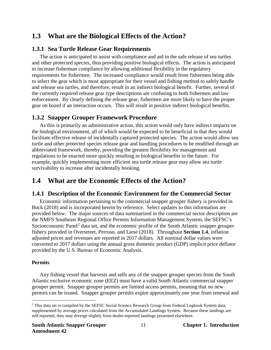# <span id="page-17-0"></span>**1.3 What are the Biological Effects of the Action?**

### <span id="page-17-1"></span>**1.3.1 Sea Turtle Release Gear Requirements**

The action is anticipated to assist with compliance and aid in the safe release of sea turtles and other protected species, thus providing positive biological effects. The action is anticipated to increase fisherman compliance by allowing additional flexibility in the regulatory requirements for fishermen. The increased compliance would result from fishermen being able to select the gear which is most appropriate for their vessel and fishing method to safely handle and release sea turtles, and therefore, result in an indirect biological benefit. Further, several of the currently required release gear type descriptions are confusing to both fishermen and law enforcement. By clearly defining the release gear, fishermen are more likely to have the proper gear on board if an interaction occurs. This will result in positive indirect biological benefits.

### <span id="page-17-2"></span>**1.3.2 Snapper Grouper Framework Procedure**

As this is primarily an administrative action, this action would only have indirect impacts on the biological environment, all of which would be expected to be beneficial in that they would facilitate effective release of incidentally captured protected species. The action would allow sea turtle and other protected species release gear and handling procedures to be modified through an abbreviated framework, thereby, providing the greatest flexibility for management and regulations to be enacted more quickly resulting in biological benefits in the future. For example, quickly implementing more efficient sea turtle release gear may allow sea turtle survivability to increase after incidentally hooking.

# <span id="page-17-3"></span>**1.4 What are the Economic Effects of the Action?**

### <span id="page-17-4"></span>**1.4.1 Description of the Economic Environment for the Commercial Sector**

Economic information pertaining to the commercial snapper grouper fishery is provided in Buck (2018) and is incorporated herein by reference. Select updates to this information are provided below. The major sources of data summarized in the commercial sector description are the NMFS Southeast Regional Office Permits Information Management System, the SEFSC's Socioeconomic Panel<sup>[2](#page-17-5)</sup> data set, and the economic profile of the South Atlantic snapper grouper fishery provided in Overstreet, Perruso, and Liese (2018). Throughout **Section 1.4**, inflation adjusted prices and revenues are reported in 2017 dollars. All nominal dollar values were converted to 2017 dollars using the annual gross domestic product (GDP) implicit price deflator provided by the U.S. Bureau of Economic Analysis.

#### **Permits**

Any fishing vessel that harvests and sells any of the snapper grouper species from the South Atlantic exclusive economic zone (EEZ) must have a valid South Atlantic commercial snapper grouper permit. Snapper grouper permits are limited access permits, meaning that no new permits can be issued. Snapper grouper permits expire approximately one year from renewal and

<span id="page-17-5"></span> $\overline{a}$ <sup>2</sup> This data set is compiled by the SEFSC Social Science Research Group from Federal Logbook System data, supplemented by average prices calculated from the Accumulated Landings System. Because these landings are self-reported, they may diverge slightly from dealer-reported landings presented elsewhere.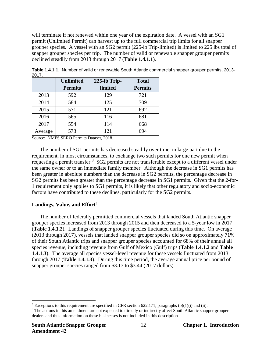will terminate if not renewed within one year of the expiration date. A vessel with an SG1 permit (Unlimited Permit) can harvest up to the full commercial trip limits for all snapper grouper species. A vessel with an SG2 permit (225-lb Trip-limited) is limited to 225 lbs total of snapper grouper species per trip. The number of valid or renewable snapper grouper permits declined steadily from 2013 through 2017 (**Table 1.4.1.1**).

|         | <b>Unlimited</b><br><b>Permits</b> | 225-lb Trip-<br>limited | <b>Total</b><br><b>Permits</b> |
|---------|------------------------------------|-------------------------|--------------------------------|
| 2013    | 592                                | 129                     | 721                            |
| 2014    | 584                                | 125                     | 709                            |
| 2015    | 571                                | 121                     | 692                            |
| 2016    | 565                                | 116                     | 681                            |
| 2017    | 554                                | 114                     | 668                            |
| Average | 573                                | 121                     | 694                            |

<span id="page-18-0"></span>**Table 1.4.1.1**. Number of valid or renewable South Atlantic commercial snapper grouper permits, 2013-  $2017$ 

Source: NMFS SERO Permits Dataset, 2018.

The number of SG1 permits has decreased steadily over time, in large part due to the requirement, in most circumstances, to exchange two such permits for one new permit when requesting a permit transfer.<sup>[3](#page-18-2)</sup> SG2 permits are not transferable except to a different vessel under the same owner or to an immediate family member. Although the decrease in SG1 permits has been greater in absolute numbers than the decrease in SG2 permits, the percentage decrease in SG2 permits has been greater than the percentage decrease in SG1 permits. Given that the 2-for-1 requirement only applies to SG1 permits, it is likely that other regulatory and socio-economic factors have contributed to these declines, particularly for the SG2 permits.

#### **Landings, Value, and Effort[4](#page-18-3)**

The number of federally permitted commercial vessels that landed South Atlantic snapper grouper species increased from 2013 through 2015 and then decreased to a 5-year low in 2017 (**Table 1.4.1.2**). Landings of snapper grouper species fluctuated during this time. On average (2013 through 2017), vessels that landed snapper grouper species did so on approximately 71% of their South Atlantic trips and snapper grouper species accounted for 68% of their annual all species revenue, including revenue from Gulf of Mexico (Gulf) trips (**Table 1.4.1.2** and **Table 1.4.1.3**). The average all species vessel-level revenue for these vessels fluctuated from 2013 through 2017 (**Table 1.4.1.3**). During this time period, the average annual price per pound of snapper grouper species ranged from \$3.13 to \$3.44 (2017 dollars).

<span id="page-18-1"></span> $\overline{a}$ 

<span id="page-18-2"></span><sup>&</sup>lt;sup>3</sup> Exceptions to this requirement are specified in CFR section 622.171, paragraphs (b)(1)(i) and (ii).

<span id="page-18-3"></span><sup>4</sup> The actions in this amendment are not expected to directly or indirectly affect South Atlantic snapper grouper dealers and thus information on these businesses is not included in this description.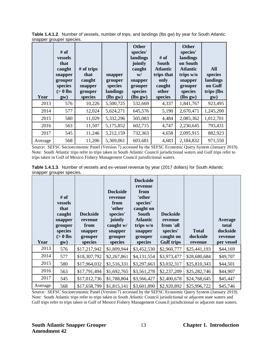|      | snapper gruuper species.<br>$#$ of<br><b>vessels</b><br>that<br>caught<br>snapper<br>grouper<br>species<br>$(>0$ lbs | $#$ of trips<br>that<br>caught<br>snapper<br>grouper | snapper<br>grouper<br>species<br>landings | <b>Other</b><br>species'<br>landings<br>jointly<br>caught<br>W/<br>snapper<br>grouper<br>species | $#$ of<br><b>South</b><br><b>Atlantic</b><br>trips that<br>only<br>caught<br>other | <b>Other</b><br>species'<br>landings<br>on South<br><b>Atlantic</b><br>trips w/o<br>snapper<br>grouper<br>species | <b>All</b><br>species<br>landings<br>on Gulf<br>trips (lbs) |
|------|----------------------------------------------------------------------------------------------------------------------|------------------------------------------------------|-------------------------------------------|--------------------------------------------------------------------------------------------------|------------------------------------------------------------------------------------|-------------------------------------------------------------------------------------------------------------------|-------------------------------------------------------------|
| Year | gw)                                                                                                                  | species                                              | $lbs gw$                                  | (lbs gw)                                                                                         | species                                                                            | $lbs gw$                                                                                                          | gw)                                                         |
| 2013 | 576                                                                                                                  | 10,226                                               | 5,500,725                                 | 532,669                                                                                          | 4,337                                                                              | 1,841,767                                                                                                         | 923,495                                                     |
| 2014 | 577                                                                                                                  | 12,024                                               | 5,624,271                                 | 645,576                                                                                          | 5,190                                                                              | 2,670,471                                                                                                         | 1,245,200                                                   |
| 2015 | 580                                                                                                                  | 11,029                                               | 5,332,296                                 | 505,083                                                                                          | 4,484                                                                              | 2,085,362                                                                                                         | 1,012,701                                                   |
|      |                                                                                                                      |                                                      |                                           |                                                                                                  |                                                                                    |                                                                                                                   |                                                             |
| 2016 | 563                                                                                                                  | 11,507                                               | 5,175,852                                 | 602,715                                                                                          | 4,747                                                                              | 2,230,645                                                                                                         | 793,431                                                     |
| 2017 | 545                                                                                                                  | 11,246                                               | 5,212,159                                 | 732,363                                                                                          | 4,658                                                                              | 2,095,915                                                                                                         | 882,923                                                     |

**Table 1.4.1.2**. Number of vessels, number of trips, and landings (lbs gw) by year for South Atlantic snapper grouper species.

Source: SEFSC Socioeconomic Panel (Version 7) accessed by the SEFSC Economic Query System (January 2019). Note: South Atlantic trips refer to trips taken in South Atlantic Council jurisdictional waters and Gulf trips refer to trips taken in Gulf of Mexico Fishery Management Council jurisdictional waters.

<span id="page-19-0"></span>

|                          | Table 1.4.1.3. Number of vessels and ex-vessel revenue by year (2017 dollars) for South Atlantic |  |  |  |
|--------------------------|--------------------------------------------------------------------------------------------------|--|--|--|
| snapper grouper species. |                                                                                                  |  |  |  |

| Year | # of<br><b>vessels</b><br>that<br>caught<br>snapper<br>grouper<br>species<br>$(>0$ lbs<br>gw) | <b>Dockside</b><br>revenue<br>from<br>snapper<br>grouper<br>species | <b>Dockside</b><br>revenue<br>from<br>'other<br>species'<br>jointly<br>caught w/<br>snapper<br>grouper<br>species | <b>Dockside</b><br>revenue<br>from<br>'other<br>species'<br>caught on<br>South<br><b>Atlantic</b><br>trips w/o<br>snapper<br>grouper<br>species | <b>Dockside</b><br>revenue<br>from 'all<br>species'<br>caught on<br><b>Gulf trips</b> | <b>Total</b><br>dockside<br>revenue | Average<br>total<br>dockside<br>revenue<br>per vessel |
|------|-----------------------------------------------------------------------------------------------|---------------------------------------------------------------------|-------------------------------------------------------------------------------------------------------------------|-------------------------------------------------------------------------------------------------------------------------------------------------|---------------------------------------------------------------------------------------|-------------------------------------|-------------------------------------------------------|
| 2013 | 576                                                                                           | \$17,217,942                                                        | \$1,809,944                                                                                                       | \$3,452,530                                                                                                                                     | \$2,960,777                                                                           | \$25,441,193                        | \$44,169                                              |
| 2014 | 577                                                                                           | \$18,307,792                                                        | \$2,267,861                                                                                                       | \$4,131,554                                                                                                                                     | \$3,973,477                                                                           | \$28,680,684                        | \$49,707                                              |
| 2015 | 580                                                                                           | \$17,964,032                                                        | \$1,516,331                                                                                                       | \$3,297,663                                                                                                                                     | \$3,032,317                                                                           | \$25,810,343                        | \$44,501                                              |
|      |                                                                                               |                                                                     |                                                                                                                   |                                                                                                                                                 |                                                                                       |                                     |                                                       |
| 2016 | 563                                                                                           | \$17,791,494                                                        | \$1,692,765                                                                                                       | \$3,561,278                                                                                                                                     | \$2,237,209                                                                           | \$25,282,746                        | \$44,907                                              |
| 2017 | 545                                                                                           | \$17,012,736                                                        | \$1,788,804                                                                                                       | \$3,566,427                                                                                                                                     | \$2,400,678                                                                           | \$24,768,645                        | \$45,447                                              |

Source: SEFSC Socioeconomic Panel (Version 7) accessed by the SEFSC Economic Query System (January 2019). Note: South Atlantic trips refer to trips taken in South Atlantic Council jurisdictional or adjacent state waters and Gulf trips refer to trips taken in Gulf of Mexico Fishery Management Council jurisdictional or adjacent state waters.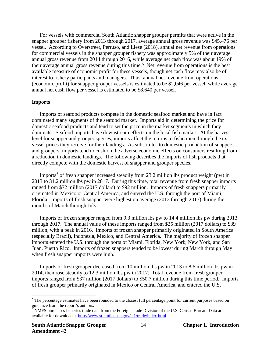For vessels with commercial South Atlantic snapper grouper permits that were active in the snapper grouper fishery from 2013 through 2017, average annual gross revenue was \$45,476 per vessel. According to Overstreet, Perruso, and Liese (2018), annual net revenue from operations for commercial vessels in the snapper grouper fishery was approximately 5% of their average annual gross revenue from 2014 through 2016, while average net cash flow was about 19% of their average annual gross revenue during this time.<sup>[5](#page-20-0)</sup> Net revenue from operations is the best available measure of economic profit for these vessels, though net cash flow may also be of interest to fishery participants and managers. Thus, annual net revenue from operations (economic profit) for snapper grouper vessels is estimated to be \$2,046 per vessel, while average annual net cash flow per vessel is estimated to be \$8,640 per vessel.

#### **Imports**

Imports of seafood products compete in the domestic seafood market and have in fact dominated many segments of the seafood market. Imports aid in determining the price for domestic seafood products and tend to set the price in the market segments in which they dominate. Seafood imports have downstream effects on the local fish market. At the harvest level for snapper and grouper species, imports affect the returns to fishermen through the exvessel prices they receive for their landings. As substitutes to domestic production of snappers and groupers, imports tend to cushion the adverse economic effects on consumers resulting from a reduction in domestic landings. The following describes the imports of fish products that directly compete with the domestic harvest of snapper and grouper species.

Imports<sup>[6](#page-20-1)</sup> of fresh snapper increased steadily from 23.2 million lbs product weight (pw) in 2013 to 31.2 million lbs pw in 2017. During this time, total revenue from fresh snapper imports ranged from \$72 million (2017 dollars) to \$92 million. Imports of fresh snappers primarily originated in Mexico or Central America, and entered the U.S. through the port of Miami, Florida. Imports of fresh snapper were highest on average (2013 through 2017) during the months of March through July.

Imports of frozen snapper ranged from 9.3 million lbs pw to 14.4 million lbs pw during 2013 through 2017. The annual value of these imports ranged from \$25 million (2017 dollars) to \$39 million, with a peak in 2016. Imports of frozen snapper primarily originated in South America (especially Brazil), Indonesia, Mexico, and Central America. The majority of frozen snapper imports entered the U.S. through the ports of Miami, Florida, New York, New York, and San Juan, Puerto Rico. Imports of frozen snappers tended to be lowest during March through May when fresh snapper imports were high.

Imports of fresh grouper decreased from 10 million lbs pw in 2013 to 8.6 million lbs pw in 2014, then rose steadily to 12.3 million lbs pw in 2017. Total revenue from fresh grouper imports ranged from \$37 million (2017 dollars) to \$50.7 million during this time period. Imports of fresh grouper primarily originated in Mexico or Central America, and entered the U.S.

 $\overline{a}$ 

<span id="page-20-0"></span> $5$  The percentage estimates have been rounded to the closest full percentage point for current purposes based on guidance from the report's authors.

<span id="page-20-1"></span><sup>6</sup> NMFS purchases fisheries trade data from the Foreign Trade Division of the U.S. Census Bureau. Data are available for download at [http://www.st.nmfs.noaa.gov/st1/trade/index.html.](http://www.st.nmfs.noaa.gov/st1/trade/index.html)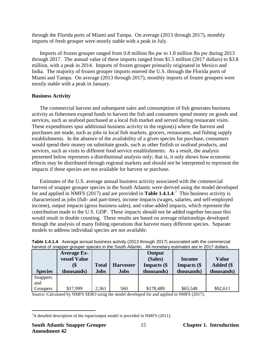through the Florida ports of Miami and Tampa. On average (2013 through 2017), monthly imports of fresh grouper were mostly stable with a peak in July.

Imports of frozen grouper ranged from 0.8 million lbs pw to 1.8 million lbs pw during 2013 through 2017. The annual value of these imports ranged from \$1.5 million (2017 dollars) to \$3.8 million, with a peak in 2014. Imports of frozen grouper primarily originated in Mexico and India. The majority of frozen grouper imports entered the U.S. through the Florida ports of Miami and Tampa. On average (2013 through 2017), monthly imports of frozen groupers were mostly stable with a peak in January.

#### **Business Activity**

The commercial harvest and subsequent sales and consumption of fish generates business activity as fishermen expend funds to harvest the fish and consumers spend money on goods and services, such as seafood purchased at a local fish market and served during restaurant visits. These expenditures spur additional business activity in the region(s) where the harvest and purchases are made, such as jobs in local fish markets, grocers, restaurants, and fishing supply establishments. In the absence of the availability of a given species for purchase, consumers would spend their money on substitute goods, such as other finfish or seafood products, and services, such as visits to different food service establishments. As a result, the analysis presented below represents a distributional analysis only; that is, it only shows how economic effects may be distributed through regional markets and should not be interpreted to represent the impacts if these species are not available for harvest or purchase.

Estimates of the U.S. average annual business activity associated with the commercial harvest of snapper grouper species in the South Atlantic were derived using the model developed for and applied in NMFS (2017) and are provided in **Table 1.4.1.4**. [7](#page-21-1) This business activity is characterized as jobs (full- and part-time), income impacts (wages, salaries, and self-employed income), output impacts (gross business sales), and value-added impacts, which represent the contribution made to the U.S. GDP. These impacts should not be added together because this would result in double counting. These results are based on average relationships developed through the analysis of many fishing operations that harvest many different species. Separate models to address individual species are not available.

<span id="page-21-0"></span>

| Table 1.4.1.4. Average annual business activity (2013 through 2017) associated with the commercial    |  |               |  |
|-------------------------------------------------------------------------------------------------------|--|---------------|--|
| harvest of snapper grouper species in the South Atlantic. All monetary estimates are in 2017 dollars. |  |               |  |
| Average Ex.                                                                                           |  | <b>Output</b> |  |

|                 | <b>Average Ex-</b>  |              |                  | Output             |               |              |
|-----------------|---------------------|--------------|------------------|--------------------|---------------|--------------|
|                 | <b>vessel Value</b> |              |                  | (Sales)            | <b>Income</b> | <b>Value</b> |
|                 |                     | <b>Total</b> | <b>Harvester</b> | <b>Impacts</b> (\$ | Impacts (\$   | Added (\$    |
| <b>Species</b>  | thousands)          | <b>Jobs</b>  | <b>Jobs</b>      | thousands)         | thousands)    | thousands)   |
| <b>Snappers</b> |                     |              |                  |                    |               |              |
| and             |                     |              |                  |                    |               |              |
| Groupers        | \$17,999            | 2,361        | 560              | \$178,489          | \$65,548      | \$92,611     |

Source: Calculated by NMFS SERO using the model developed for and applied in NMFS (2017).

<span id="page-21-1"></span> $\overline{a}$  ${}^{7}$ A detailed description of the input/output model is provided in NMFS (2011).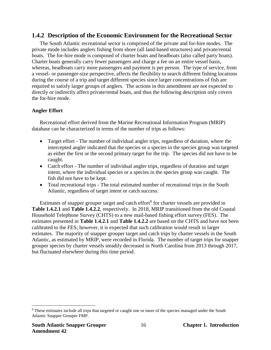#### <span id="page-22-0"></span>**1.4.2 Description of the Economic Environment for the Recreational Sector**

The South Atlantic recreational sector is comprised of the private and for-hire modes. The private mode includes anglers fishing from shore (all land-based structures) and private/rental boats. The for-hire mode is composed of charter boats and headboats (also called party boats). Charter boats generally carry fewer passengers and charge a fee on an entire vessel basis, whereas, headboats carry more passengers and payment is per person. The type of service, from a vessel- or passenger-size perspective, affects the flexibility to search different fishing locations during the course of a trip and target different species since larger concentrations of fish are required to satisfy larger groups of anglers. The actions in this amendment are not expected to directly or indirectly affect private/rental boats, and thus the following description only covers the for-hire mode.

#### **Angler Effort**

Recreational effort derived from the Marine Recreational Information Program (MRIP) database can be characterized in terms of the number of trips as follows:

- Target effort The number of individual angler trips, regardless of duration, where the intercepted angler indicated that the species or a species in the species group was targeted as either the first or the second primary target for the trip. The species did not have to be caught.
- Catch effort The number of individual angler trips, regardless of duration and target intent, where the individual species or a species in the species group was caught. The fish did not have to be kept.
- Total recreational trips The total estimated number of recreational trips in the South Atlantic, regardless of target intent or catch success.

Estimates of snapper grouper target and catch effort<sup>[8](#page-22-1)</sup> for charter vessels are provided in **Table 1.4.2.1** and **Table 1.4.2.2**, respectively. In 2018, MRIP transitioned from the old Coastal Household Telephone Survey (CHTS) to a new mail-based fishing effort survey (FES). The estimates presented in **Table 1.4.2.1** and **Table 1.4.2.2** are based on the CHTS and have not been calibrated to the FES; however, it is expected that such calibration would result in larger estimates. The majority of snapper grouper target and catch trips by charter vessels in the South Atlantic, as estimated by MRIP, were recorded in Florida. The number of target trips for snapper grouper species by charter vessels steadily decreased in North Carolina from 2013 through 2017, but fluctuated elsewhere during this time period.

<span id="page-22-1"></span> $\overline{a}$ <sup>8</sup> These estimates include all trips that targeted or caught one or more of the species managed under the South Atlantic Snapper Grouper FMP.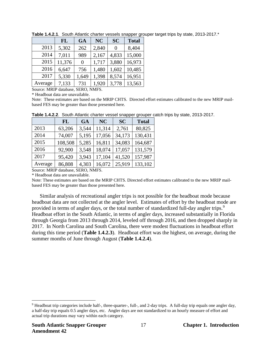|         | <b>FL</b> | <b>GA</b> | <b>NC</b> | <b>SC</b> | <b>Total</b> |
|---------|-----------|-----------|-----------|-----------|--------------|
| 2013    | 5,302     | 262       | 2,840     | $\Omega$  | 8,404        |
| 2014    | 7,011     | 989       | 2,167     | 4,833     | 15,000       |
| 2015    | 11,376    | 0         | 1,717     | 3,880     | 16,973       |
| 2016    | 6,647     | 756       | 1,480     | 1,602     | 10,485       |
| 2017    | 5,330     | 1,649     | 1,398     | 8,574     | 16,951       |
| Average | 7,133     | 731       | 1,920     | 3,778     | 13,563       |

<span id="page-23-0"></span>**Table 1.4.2.1**. South Atlantic charter vessels snapper grouper target trips by state, 2013-2017.\*

Source: MRIP database, SERO, NMFS.

\* Headboat data are unavailable.

Note: These estimates are based on the MRIP CHTS. Directed effort estimates calibrated to the new MRIP mailbased FES may be greater than those presented here.

|         | FL      | <b>GA</b> | <b>NC</b> | <b>SC</b> | <b>Total</b> |
|---------|---------|-----------|-----------|-----------|--------------|
| 2013    | 63,206  | 3,544     | 11,314    | 2,761     | 80,825       |
| 2014    | 74,007  | 5,195     | 17,056    | 34,173    | 130,431      |
| 2015    | 108,508 | 5,285     | 16,811    | 34,083    | 164,687      |
| 2016    | 92,900  | 3,548     | 18,074    | 17,057    | 131,579      |
| 2017    | 95,420  | 3,943     | 17,104    | 41,520    | 157,987      |
| Average | 86,808  | 4,303     | 16,072    | 25,919    | 133,102      |

<span id="page-23-1"></span>**Table 1.4.2.2**.South Atlantic charter vessel snapper grouper catch trips by state, 2013-2017.

Source: MRIP database, SERO, NMFS.

\* Headboat data are unavailable.

Note: These estimates are based on the MRIP CHTS. Directed effort estimates calibrated to the new MRIP mailbased FES may be greater than those presented here.

Similar analysis of recreational angler trips is not possible for the headboat mode because headboat data are not collected at the angler level. Estimates of effort by the headboat mode are provided in terms of angler days, or the total number of standardized full-day angler trips.<sup>[9](#page-23-2)</sup> Headboat effort in the South Atlantic, in terms of angler days, increased substantially in Florida through Georgia from 2013 through 2014, leveled off through 2016, and then dropped sharply in 2017. In North Carolina and South Carolina, there were modest fluctuations in headboat effort during this time period (**Table 1.4.2.3**). Headboat effort was the highest, on average, during the summer months of June through August (**Table 1.4.2.4**).

<span id="page-23-2"></span> $\overline{a}$ <sup>9</sup> Headboat trip categories include half-, three-quarter-, full-, and 2-day trips. A full-day trip equals one angler day, a half-day trip equals 0.5 angler days, etc. Angler days are not standardized to an hourly measure of effort and actual trip durations may vary within each category.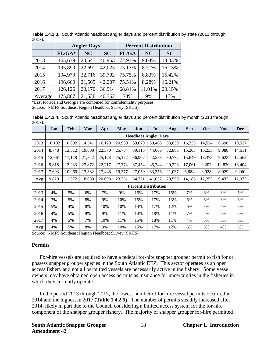|         |          | <b>Angler Days</b> |           | <b>Percent Distribution</b> |           |           |  |
|---------|----------|--------------------|-----------|-----------------------------|-----------|-----------|--|
|         | $FL/GA*$ | NC                 | <b>SC</b> | FL/GA                       | <b>NC</b> | <b>SC</b> |  |
| 2013    | 165,679  | 20,547             | 40,963    | 72.93%                      | 9.04%     | 18.03%    |  |
| 2014    | 195,890  | 22,691             | 42,025    | 75.17%                      | 8.71%     | 16.13%    |  |
| 2015    | 194,979  | 22,716             | 39,702    | 75.75%                      | 8.83%     | 15.42%    |  |
| 2016    | 196,660  | 21,565             | 42,207    | 75.51%                      | 8.28%     | 16.21%    |  |
| 2017    | 126,126  | 20,170             | 36,914    | 68.84%                      | 11.01%    | 20.15%    |  |
| Average | 175,867  | 21,538             | 40,362    | 74%                         | 9%        | 17%       |  |

<span id="page-24-0"></span>**Table 1.4.2.3**.South Atlantic headboat angler days and percent distribution by state (2013 through 2017).

\*East Florida and Georgia are combined for confidentiality purposes. Source: NMFS Southeast Region Headboat Survey (SRHS).

<span id="page-24-1"></span>**Table 1.4.2.4**.South Atlantic headboat angler days and percent distribution by month (2013 through 2017).

|      | Jan                         | Feb    | Mar    | Apr    | May    | Jun                         | Jul    | Aug    | <b>Sep</b> | Oct    | <b>Nov</b> | <b>Dec</b> |
|------|-----------------------------|--------|--------|--------|--------|-----------------------------|--------|--------|------------|--------|------------|------------|
|      | <b>Headboat Angler Days</b> |        |        |        |        |                             |        |        |            |        |            |            |
| 2013 | 10,182                      | 10,892 | 14,541 | 16,129 | 20,969 | 33,079                      | 39,463 | 33,830 | 16,335     | 14,534 | 6,698      | 10,537     |
| 2014 | 8.748                       | 13,512 | 19.808 | 22,570 | 25,764 | 39,115                      | 44,066 | 32,886 | 15,203     | 15,235 | 9.088      | 14,611     |
| 2015 | 12,661                      | 11,148 | 21,842 | 25,128 | 25,172 | 36,907                      | 42,558 | 30,772 | 15,649     | 13,375 | 9,623      | 12,562     |
| 2016 | 9,818                       | 12,243 | 23,872 | 22,217 | 27,374 | 37,454                      | 45,744 | 29,223 | 17,061     | 9,202  | 12,820     | 13,404     |
| 2017 | 7,693                       | 10,066 | 13,382 | 17,448 | 19,377 | 27,050                      | 33,356 | 21,037 | 6,684      | 8,928  | 8,929      | 9,260      |
| Avg  | 9,820                       | 11,572 | 18,689 | 20,698 | 23,731 | 34,721                      | 41,037 | 29,550 | 14,186     | 12,255 | 9,432      | 12,075     |
|      |                             |        |        |        |        | <b>Percent Distribution</b> |        |        |            |        |            |            |
| 2013 | 4%                          | 5%     | 6%     | 7%     | 9%     | 15%                         | 17%    | 15%    | 7%         | 6%     | 3%         | 5%         |
| 2014 | 3%                          | 5%     | 8%     | 9%     | 10%    | 15%                         | 17%    | 13%    | 6%         | 6%     | 3%         | 6%         |
| 2015 | 5%                          | 4%     | 8%     | 10%    | 10%    | 14%                         | 17%    | 12%    | 6%         | 5%     | 4%         | 5%         |
| 2016 | 4%                          | 5%     | 9%     | 9%     | 11%    | 14%                         | 18%    | 11%    | 7%         | 4%     | 5%         | 5%         |
| 2017 | 4%                          | 5%     | 7%     | 10%    | 11%    | 15%                         | 18%    | 11%    | 4%         | 5%     | 5%         | 5%         |
| Avg  | 4%                          | 5%     | 8%     | 9%     | 10%    | 15%                         | 17%    | 12%    | 6%         | 5%     | 4%         | 5%         |

Source: NMFS Southeast Region Headboat Survey (SRHS).

#### **Permits**

For-hire vessels are required to have a federal for-hire snapper grouper permit to fish for or possess snapper grouper species in the South Atlantic EEZ. This sector operates as an open access fishery and not all permitted vessels are necessarily active in the fishery. Some vessel owners may have obtained open access permits as insurance for uncertainties in the fisheries in which they currently operate.

In the period 2013 through 2017, the lowest number of for-hire vessel permits occurred in 2014 and the highest in 2017 (**Table 1.4.2.5**). The number of permits steadily increased after 2014, likely in part due to the Council considering a limited access system for the for-hire component of the snapper grouper fishery. The majority of snapper grouper for-hire permitted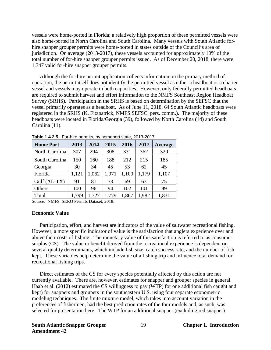vessels were home-ported in Florida; a relatively high proportion of these permitted vessels were also home-ported in North Carolina and South Carolina. Many vessels with South Atlantic forhire snapper grouper permits were home-ported in states outside of the Council's area of jurisdiction. On average (2013-2017), these vessels accounted for approximately 10% of the total number of for-hire snapper grouper permits issued. As of December 20, 2018, there were 1,747 valid for-hire snapper grouper permits.

Although the for-hire permit application collects information on the primary method of operation, the permit itself does not identify the permitted vessel as either a headboat or a charter vessel and vessels may operate in both capacities. However, only federally permitted headboats are required to submit harvest and effort information to the NMFS Southeast Region Headboat Survey (SRHS). Participation in the SRHS is based on determination by the SEFSC that the vessel primarily operates as a headboat. As of June 11, 2018, 64 South Atlantic headboats were registered in the SRHS (K. Fitzpatrick, NMFS SEFSC, pers. comm.). The majority of these headboats were located in Florida/Georgia (39), followed by North Carolina (14) and South Carolina (11).

| <b>Home Port</b> | 2013  | 2014  | 2015  | 2016  | 2017  | Average |
|------------------|-------|-------|-------|-------|-------|---------|
| North Carolina   | 307   | 294   | 308   | 331   | 362   | 320     |
| South Carolina   | 150   | 160   | 188   | 212   | 215   | 185     |
| Georgia          | 30    | 34    | 45    | 53    | 62    | 45      |
| Florida          | 1,121 | 1,062 | 1,071 | 1,100 | 1,179 | 1,107   |
| Gulf (AL-TX)     | 91    | 81    | 73    | 69    | 63    | 75      |
| Others           | 100   | 96    | 94    | 102   | 101   | 99      |
| Total            | 1,799 | 1,727 | 1,779 | 1,867 | 1,982 | 1,831   |

<span id="page-25-0"></span>**Table 1.4.2.5**. For-hire permits, by homeport state, 2013-2017.

Source: NMFS, SERO Permits Dataset, 2018.

#### **Economic Value**

Participation, effort, and harvest are indicators of the value of saltwater recreational fishing. However, a more specific indicator of value is the satisfaction that anglers experience over and above their costs of fishing. The monetary value of this satisfaction is referred to as consumer surplus (CS). The value or benefit derived from the recreational experience is dependent on several quality determinants, which include fish size, catch success rate, and the number of fish kept. These variables help determine the value of a fishing trip and influence total demand for recreational fishing trips.

Direct estimates of the CS for every species potentially affected by this action are not currently available. There are, however, estimates for snapper and grouper species in general. Haab et al. (2012) estimated the CS willingness to pay (WTP) for one additional fish caught and kept) for snappers and groupers in the southeastern U.S. using four separate econometric modeling techniques. The finite mixture model, which takes into account variation in the preferences of fishermen, had the best prediction rates of the four models and, as such, was selected for presentation here. The WTP for an additional snapper (excluding red snapper)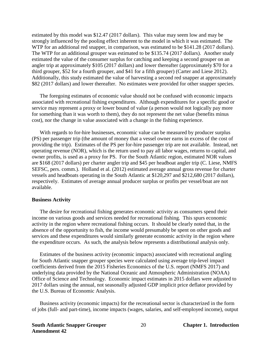estimated by this model was \$12.47 (2017 dollars). This value may seem low and may be strongly influenced by the pooling effect inherent to the model in which it was estimated. The WTP for an additional red snapper, in comparison, was estimated to be \$141.28 (2017 dollars). The WTP for an additional grouper was estimated to be \$135.74 (2017 dollars). Another study estimated the value of the consumer surplus for catching and keeping a second grouper on an angler trip at approximately \$105 (2017 dollars) and lower thereafter (approximately \$70 for a third grouper, \$52 for a fourth grouper, and \$41 for a fifth grouper) (Carter and Liese 2012). Additionally, this study estimated the value of harvesting a second red snapper at approximately \$82 (2017 dollars) and lower thereafter. No estimates were provided for other snapper species.

The foregoing estimates of economic value should not be confused with economic impacts associated with recreational fishing expenditures. Although expenditures for a specific good or service may represent a proxy or lower bound of value (a person would not logically pay more for something than it was worth to them), they do not represent the net value (benefits minus cost), nor the change in value associated with a change in the fishing experience.

With regards to for-hire businesses, economic value can be measured by producer surplus (PS) per passenger trip (the amount of money that a vessel owner earns in excess of the cost of providing the trip). Estimates of the PS per for-hire passenger trip are not available. Instead, net operating revenue (NOR), which is the return used to pay all labor wages, returns to capital, and owner profits, is used as a proxy for PS. For the South Atlantic region, estimated NOR values are \$168 (2017 dollars) per charter angler trip and \$45 per headboat angler trip (C. Liese, NMFS SEFSC, pers. comm.). Holland et al. (2012) estimated average annual gross revenue for charter vessels and headboats operating in the South Atlantic at \$120,297 and \$212,680 (2017 dollars), respectively. Estimates of average annual producer surplus or profits per vessel/boat are not available.

#### **Business Activity**

The desire for recreational fishing generates economic activity as consumers spend their income on various goods and services needed for recreational fishing. This spurs economic activity in the region where recreational fishing occurs. It should be clearly noted that, in the absence of the opportunity to fish, the income would presumably be spent on other goods and services and these expenditures would similarly generate economic activity in the region where the expenditure occurs. As such, the analysis below represents a distributional analysis only.

Estimates of the business activity (economic impacts) associated with recreational angling for South Atlantic snapper grouper species were calculated using average trip-level impact coefficients derived from the 2015 Fisheries Economics of the U.S. report (NMFS 2017) and underlying data provided by the National Oceanic and Atmospheric Administration (NOAA) Office of Science and Technology. Economic impact estimates in 2015 dollars were adjusted to 2017 dollars using the annual, not seasonally adjusted GDP implicit price deflator provided by the U.S. Bureau of Economic Analysis.

Business activity (economic impacts) for the recreational sector is characterized in the form of jobs (full- and part-time), income impacts (wages, salaries, and self-employed income), output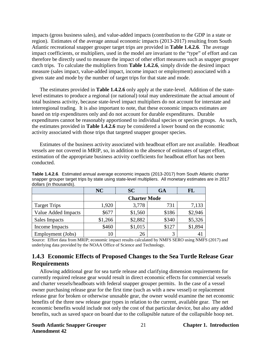impacts (gross business sales), and value-added impacts (contribution to the GDP in a state or region). Estimates of the average annual economic impacts (2013-2017) resulting from South Atlantic recreational snapper grouper target trips are provided in **Table 1.4.2.6**. The average impact coefficients, or multipliers, used in the model are invariant to the "type" of effort and can therefore be directly used to measure the impact of other effort measures such as snapper grouper catch trips. To calculate the multipliers from **Table 1.4.2.6**, simply divide the desired impact measure (sales impact, value-added impact, income impact or employment) associated with a given state and mode by the number of target trips for that state and mode.

The estimates provided in **Table 1.4.2.6** only apply at the state-level. Addition of the statelevel estimates to produce a regional (or national) total may underestimate the actual amount of total business activity, because state-level impact multipliers do not account for interstate and interregional trading. It is also important to note, that these economic impacts estimates are based on trip expenditures only and do not account for durable expenditures. Durable expenditures cannot be reasonably apportioned to individual species or species groups. As such, the estimates provided in **Table 1.4.2.6** may be considered a lower bound on the economic activity associated with those trips that targeted snapper grouper species.

Estimates of the business activity associated with headboat effort are not available. Headboat vessels are not covered in MRIP, so, in addition to the absence of estimates of target effort, estimation of the appropriate business activity coefficients for headboat effort has not been conducted.

|                     | NC      | <b>SC</b> | <b>GA</b> | <b>FL</b> |  |  |  |  |
|---------------------|---------|-----------|-----------|-----------|--|--|--|--|
| <b>Charter Mode</b> |         |           |           |           |  |  |  |  |
| <b>Target Trips</b> | 1,920   | 3,778     | 731       | 7,133     |  |  |  |  |
| Value Added Impacts | \$677   | \$1,560   | \$186     | \$2,946   |  |  |  |  |
| Sales Impacts       | \$1,266 | \$2,882   | \$340     | \$5,326   |  |  |  |  |
| Income Impacts      | \$460   | \$1,015   | \$127     | \$1,894   |  |  |  |  |
| Employment (Jobs)   | 10      | 26        | 3         |           |  |  |  |  |

<span id="page-27-1"></span>**Table 1.4.2.6**. Estimated annual average economic impacts (2013-2017) from South Atlantic charter snapper grouper target trips by state using state-level multipliers. All monetary estimates are in 2017 dollars (in thousands).

Source: Effort data from MRIP; economic impact results calculated by NMFS SERO using NMFS (2017) and underlying data provided by the NOAA Office of Science and Technology.

### <span id="page-27-0"></span>**1.4.3 Economic Effects of Proposed Changes to the Sea Turtle Release Gear Requirements**

Allowing additional gear for sea turtle release and clarifying dimension requirements for currently required release gear would result in direct economic effects for commercial vessels and charter vessels/headboats with federal snapper grouper permits. In the case of a vessel owner purchasing release gear for the first time (such as with a new vessel) or replacement release gear for broken or otherwise unusable gear, the owner would examine the net economic benefits of the three new release gear types in relation to the current, available gear. The net economic benefits would include not only the cost of that particular device, but also any added benefits, such as saved space on board due to the collapsible nature of the collapsible hoop net.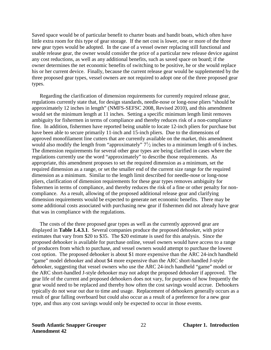Saved space would be of particular benefit to charter boats and bandit boats, which often have little extra room for this type of gear storage. If the net cost is lower, one or more of the three new gear types would be adopted. In the case of a vessel owner replacing still functional and usable release gear, the owner would consider the price of a particular new release device against any cost reductions, as well as any additional benefits, such as saved space on board; if the owner determines the net economic benefits of switching to be positive, he or she would replace his or her current device. Finally, because the current release gear would be supplemented by the three proposed gear types, vessel owners are not required to adopt one of the three proposed gear types.

Regarding the clarification of dimension requirements for currently required release gear, regulations currently state that, for design standards, needle-nose or long-nose pliers "should be approximately 12 inches in length" (NMFS-SEFSC 2008, Revised 2010), and this amendment would set the minimum length at 11 inches. Setting a specific minimum length limit removes ambiguity for fishermen in terms of compliance and thereby reduces risk of a non-compliance fine. In addition, fishermen have reported being unable to locate 12-inch pliers for purchase but have been able to secure primarily 11-inch and 15-inch pliers. Due to the dimensions of approved monofilament line cutters that are currently available on the market, this amendment would also modify the length from "approximately"  $7\frac{1}{2}$  inches to a minimum length of 6 inches. The dimension requirements for several other gear types are being clarified in cases where the regulations currently use the word "approximately" to describe those requirements. As appropriate, this amendment proposes to set the required dimension as a minimum, set the required dimension as a range, or set the smaller end of the current size range for the required dimension as a minimum. Similar to the length limit described for needle-nose or long-nose pliers, clarification of dimension requirements for these gear types removes ambiguity for fishermen in terms of compliance, and thereby reduces the risk of a fine or other penalty for noncompliance. As a result, allowing of the proposed additional release gear and clarifying dimension requirements would be expected to generate net economic benefits. There may be some additional costs associated with purchasing new gear if fishermen did not already have gear that was in compliance with the regulations.

The costs of the three proposed gear types as well as the currently approved gear are displayed in **Table 1.4.3.1**. Several companies produce the proposed dehooker, with price estimates that vary from \$20 to \$35. The \$20 estimate is used for this analysis. Since the proposed dehooker is available for purchase online, vessel owners would have access to a range of producers from which to purchase, and vessel owners would attempt to purchase the lowest cost option. The proposed dehooker is about \$1 more expensive than the ARC 24-inch handheld "game" model dehooker and about \$4 more expensive than the ARC short-handled J-style dehooker, suggesting that vessel owners who use the ARC 24-inch handheld "game" model or the ARC short-handled J-style dehooker may not adopt the proposed dehooker if approved. The gear life of the current and proposed dehookers does not vary, for purposes of how frequently the gear would need to be replaced and thereby how often the cost savings would accrue. Dehookers typically do not wear out due to time and usage. Replacement of dehookers generally occurs as a result of gear falling overboard but could also occur as a result of a preference for a new gear type, and thus any cost savings would only be expected to occur in those events.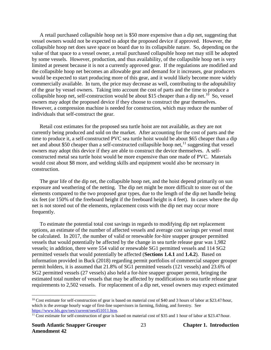A retail purchased collapsible hoop net is \$50 more expensive than a dip net, suggesting that vessel owners would not be expected to adopt the proposed device if approved. However, the collapsible hoop net does save space on board due to its collapsible nature. So, depending on the value of that space to a vessel owner, a retail purchased collapsible hoop net may still be adopted by some vessels. However, production, and thus availability, of the collapsible hoop net is very limited at present because it is not a currently approved gear. If the regulations are modified and the collapsible hoop net becomes an allowable gear and demand for it increases, gear producers would be expected to start producing more of this gear, and it would likely become more widely commercially available. In turn, the price may decrease as well, contributing to the adoptability of the gear by vessel owners. Taking into account the cost of parts and the time to produce a collapsible hoop net, self-construction would be about \$15 cheaper than a dip net.<sup>[10](#page-29-0)</sup> So, vessel owners may adopt the proposed device if they choose to construct the gear themselves. However, a compression machine is needed for construction, which may reduce the number of individuals that self-construct the gear.

Retail cost estimates for the proposed sea turtle hoist are not available, as they are not currently being produced and sold on the market. After accounting for the cost of parts and the time to produce it, a self-constructed PVC sea turtle hoist would be about \$65 cheaper than a dip net and about \$50 cheaper than a self-constructed collapsible hoop net,<sup>[11](#page-29-1)</sup> suggesting that vessel owners may adopt this device if they are able to construct the device themselves. A selfconstructed metal sea turtle hoist would be more expensive than one made of PVC. Materials would cost about \$8 more, and welding skills and equipment would also be necessary in construction.

The gear life of the dip net, the collapsible hoop net, and the hoist depend primarily on sun exposure and weathering of the netting. The dip net might be more difficult to store out of the elements compared to the two proposed gear types, due to the length of the dip net handle being six feet (or 150% of the freeboard height if the freeboard height is 4 feet). In cases where the dip net is not stored out of the elements, replacement costs with the dip net may occur more frequently.

To estimate the potential total cost savings in regards to modifying dip net replacement options, an estimate of the number of affected vessels and average cost savings per vessel must be calculated. In 2017, the number of valid or renewable for-hire snapper grouper permitted vessels that would potentially be affected by the change in sea turtle release gear was 1,982 vessels; in addition, there were 554 valid or renewable SG1 permitted vessels and 114 SG2 permitted vessels that would potentially be affected (**Sections 1.4.1** and **1.4.2**). Based on information provided in Buck (2018) regarding permit portfolios of commercial snapper grouper permit holders, it is assumed that 21.8% of SG1 permitted vessels (121 vessels) and 23.6% of SG2 permitted vessels (27 vessels) also held a for-hire snapper grouper permit, bringing the estimated total number of vessels that may be affected by modifications to sea turtle release gear requirements to 2,502 vessels. For replacement of a dip net, vessel owners may expect estimated

 $\overline{a}$ 

<span id="page-29-0"></span> $10$  Cost estimate for self-construction of gear is based on material cost of \$40 and 3 hours of labor at \$23.47/hour, which is the average hourly wage of first-line supervisors in farming, fishing, and forestry. See https://www.bls.gov/oes/current/oes451011.htm.

<span id="page-29-1"></span> $\frac{11}{11}$  Cost estimate for self-construction of gear is based on material cost of \$35 and 1 hour of labor at \$23.47/hour.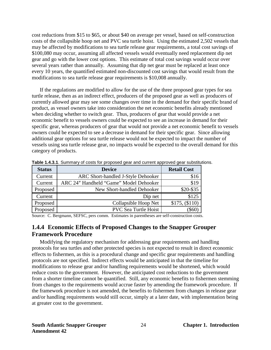cost reductions from \$15 to \$65, or about \$40 on average per vessel, based on self-construction costs of the collapsible hoop net and PVC sea turtle hoist. Using the estimated 2,502 vessels that may be affected by modifications to sea turtle release gear requirements, a total cost savings of \$100,080 may occur, assuming all affected vessels would eventually need replacement dip net gear and go with the lower cost options. This estimate of total cost savings would occur over several years rather than annually. Assuming that dip net gear must be replaced at least once every 10 years, the quantified estimated non-discounted cost savings that would result from the modifications to sea turtle release gear requirements is \$10,008 annually.

If the regulations are modified to allow for the use of the three proposed gear types for sea turtle release, then as an indirect effect, producers of the proposed gear as well as producers of currently allowed gear may see some changes over time in the demand for their specific brand of product, as vessel owners take into consideration the net economic benefits already mentioned when deciding whether to switch gear. Thus, producers of gear that would provide a net economic benefit to vessels owners could be expected to see an increase in demand for their specific gear, whereas producers of gear that would not provide a net economic benefit to vessels owners could be expected to see a decrease in demand for their specific gear. Since allowing additional gear options for sea turtle release would not be expected to impact the number of vessels using sea turtle release gear, no impacts would be expected to the overall demand for this category of products.

| <b>Status</b> | <b>Device</b>                          | <b>Retail Cost</b> |
|---------------|----------------------------------------|--------------------|
| Current       | ARC Short-handled J-Style Dehooker     | \$16               |
| Current       | ARC 24" Handheld "Game" Model Dehooker | \$19               |
| Proposed      | New Short-handled Dehooker             | \$20-\$35          |
| Current       | Dip net                                | \$125              |
| Proposed      | Collapsible Hoop Net                   | \$175, (\$110)     |
| Proposed      | <b>PVC Sea Turtle Hoist</b>            |                    |

<span id="page-30-1"></span>**Table 1.4.3.1**. Summary of costs for proposed gear and current approved gear substitutions.

<span id="page-30-0"></span>Source: C. Bergmann, SEFSC, pers comm. Estimates in parentheses are self-construction costs.

#### **1.4.4 Economic Effects of Proposed Changes to the Snapper Grouper Framework Procedure**

Modifying the regulatory mechanism for addressing gear requirements and handling protocols for sea turtles and other protected species is not expected to result in direct economic effects to fishermen, as this is a procedural change and specific gear requirements and handling protocols are not specified. Indirect effects would be anticipated in that the timeline for modifications to release gear and/or handling requirements would be shortened, which would reduce costs to the government. However, the anticipated cost reductions to the government from a shorter timeline cannot be quantified. Still, any economic benefits to fishermen stemming from changes to the requirements would accrue faster by amending the framework procedure. If the framework procedure is not amended, the benefits to fishermen from changes in release gear and/or handling requirements would still occur, simply at a later date, with implementation being at greater cost to the government.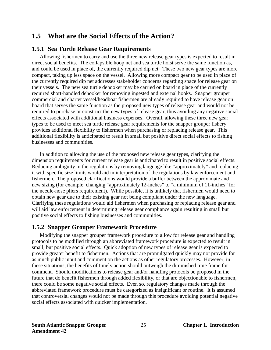# <span id="page-31-0"></span>**1.5 What are the Social Effects of the Action?**

#### <span id="page-31-1"></span>**1.5.1 Sea Turtle Release Gear Requirements**

Allowing fishermen to carry and use the three new release gear types is expected to result in direct social benefits. The collapsible hoop net and sea turtle hoist serve the same function as, and could be used in place of, the currently required dip net. These two new gear types are more compact, taking up less space on the vessel. Allowing more compact gear to be used in place of the currently required dip net addresses stakeholder concerns regarding space for release gear on their vessels. The new sea turtle dehooker may be carried on board in place of the currently required short-handled dehooker for removing ingested and external hooks. Snapper grouper commercial and charter vessel/headboat fishermen are already required to have release gear on board that serves the same function as the proposed new types of release gear and would not be required to purchase or construct the new types of release gear, thus avoiding any negative social effects associated with additional business expenses. Overall, allowing these three new gear types to be used to meet sea turtle release gear requirements for the snapper grouper fishery provides additional flexibility to fishermen when purchasing or replacing release gear. This additional flexibility is anticipated to result in small but positive direct social effects to fishing businesses and communities.

 In addition to allowing the use of the proposed new release gear types, clarifying the dimension requirements for current release gear is anticipated to result in positive social effects. Reducing ambiguity in the regulations by removing language like "approximately" and replacing it with specific size limits would aid in interpretation of the regulations by law enforcement and fishermen. The proposed clarifications would provide a buffer between the approximate and new sizing (for example, changing "approximately 12-inches" to "a minimum of 11-inches" for the needle-nose pliers requirement). While possible, it is unlikely that fishermen would need to obtain new gear due to their existing gear not being compliant under the new language. Clarifying these regulations would aid fishermen when purchasing or replacing release gear and will aid law enforcement in determining release gear compliance again resulting in small but positive social effects to fishing businesses and communities.

#### <span id="page-31-2"></span>**1.5.2 Snapper Grouper Framework Procedure**

 Modifying the snapper grouper framework procedure to allow for release gear and handling protocols to be modified through an abbreviated framework procedure is expected to result in small, but positive social effects. Quick adoption of new types of release gear is expected to provide greater benefit to fishermen. Actions that are promulgated quickly may not provide for as much public input and comment on the actions as other regulatory processes. However, in these situations, the benefits of timely action should outweigh the diminished time frame for comment. Should modifications to release gear and/or handling protocols be proposed in the future that do benefit fishermen through added flexibility, or that are objectionable to fishermen, there could be some negative social effects. Even so, regulatory changes made through the abbreviated framework procedure must be categorized as insignificant or routine. It is assumed that controversial changes would not be made through this procedure avoiding potential negative social effects associated with quicker implementation.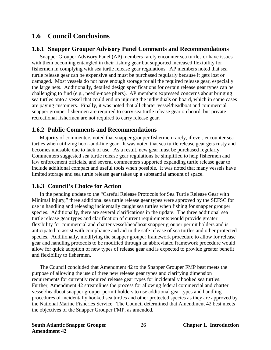### <span id="page-32-0"></span>**1.6 Council Conclusions**

#### <span id="page-32-1"></span>**1.6.1 Snapper Grouper Advisory Panel Comments and Recommendations**

Snapper Grouper Advisory Panel (AP) members rarely encounter sea turtles or have issues with them becoming entangled in their fishing gear but supported increased flexibility for fishermen in complying with sea turtle release gear regulations. AP members noted that sea turtle release gear can be expensive and must be purchased regularly because it gets lost or damaged. Most vessels do not have enough storage for all the required release gear, especially the large nets. Additionally, detailed design specifications for certain release gear types can be challenging to find (e.g., needle-nose pliers). AP members expressed concerns about bringing sea turtles onto a vessel that could end up injuring the individuals on board, which in some cases are paying customers. Finally, it was noted that all charter vessel/headboat and commercial snapper grouper fishermen are required to carry sea turtle release gear on board, but private recreational fishermen are not required to carry release gear.

#### <span id="page-32-2"></span>**1.6.2 Public Comments and Recommendations**

Majority of commenters noted that snapper grouper fishermen rarely, if ever, encounter sea turtles when utilizing hook-and-line gear. It was noted that sea turtle release gear gets rusty and becomes unusable due to lack of use. As a result, new gear must be purchased regularly. Commenters suggested sea turtle release gear regulations be simplified to help fishermen and law enforcement officials, and several commenters supported expanding turtle release gear to include additional compact and useful tools when possible. It was noted that many vessels have limited storage and sea turtle release gear takes up a substantial amount of space.

#### <span id="page-32-3"></span>**1.6.3 Council's Choice for Action**

In the pending update to the "Careful Release Protocols for Sea Turtle Release Gear with Minimal Injury," three additional sea turtle release gear types were approved by the SEFSC for use in handling and releasing incidentally caught sea turtles when fishing for snapper grouper species. Additionally, there are several clarifications in the update. The three additional sea turtle release gear types and clarification of current requirements would provide greater flexibility for commercial and charter vessel/headboat snapper grouper permit holders and is anticipated to assist with compliance and aid in the safe release of sea turtles and other protected species. Additionally, modifying the snapper grouper framework procedure to allow for release gear and handling protocols to be modified through an abbreviated framework procedure would allow for quick adoption of new types of release gear and is expected to provide greater benefit and flexibility to fishermen.

The Council concluded that Amendment 42 to the Snapper Grouper FMP best meets the purpose of allowing the use of three new release gear types and clarifying dimension requirements for currently required release gear types for incidentally hooked sea turtles. Further, Amendment 42 streamlines the process for allowing federal commercial and charter vessel/headboat snapper grouper permit holders to use additional gear types and handling procedures of incidentally hooked sea turtles and other protected species as they are approved by the National Marine Fisheries Service. The Council determined that Amendment 42 best meets the objectives of the Snapper Grouper FMP, as amended.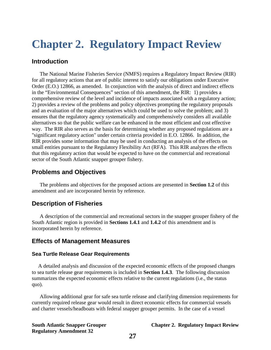# <span id="page-33-0"></span>**Chapter 2. Regulatory Impact Review**

#### **Introduction**

The National Marine Fisheries Service (NMFS) requires a Regulatory Impact Review (RIR) for all regulatory actions that are of public interest to satisfy our obligations under Executive Order (E.O.) 12866, as amended. In conjunction with the analysis of direct and indirect effects in the "Environmental Consequences" section of this amendment, the RIR: 1) provides a comprehensive review of the level and incidence of impacts associated with a regulatory action; 2) provides a review of the problems and policy objectives prompting the regulatory proposals and an evaluation of the major alternatives which could be used to solve the problem; and 3) ensures that the regulatory agency systematically and comprehensively considers all available alternatives so that the public welfare can be enhanced in the most efficient and cost effective way. The RIR also serves as the basis for determining whether any proposed regulations are a "significant regulatory action" under certain criteria provided in E.O. 12866. In addition, the RIR provides some information that may be used in conducting an analysis of the effects on small entities pursuant to the Regulatory Flexibility Act (RFA). This RIR analyzes the effects that this regulatory action that would be expected to have on the commercial and recreational sector of the South Atlantic snapper grouper fishery.

#### **Problems and Objectives**

The problems and objectives for the proposed actions are presented in **Section 1.2** of this amendment and are incorporated herein by reference.

#### **Description of Fisheries**

A description of the commercial and recreational sectors in the snapper grouper fishery of the South Atlantic region is provided in **Sections 1.4.1** and **1.4.2** of this amendment and is incorporated herein by reference.

#### **Effects of Management Measures**

#### **Sea Turtle Release Gear Requirements**

A detailed analysis and discussion of the expected economic effects of the proposed changes to sea turtle release gear requirements is included in **Section 1.4.3**. The following discussion summarizes the expected economic effects relative to the current regulations (i.e., the status quo).

Allowing additional gear for safe sea turtle release and clarifying dimension requirements for currently required release gear would result in direct economic effects for commercial vessels and charter vessels/headboats with federal snapper grouper permits. In the case of a vessel

#### **South Atlantic Snapper Grouper Chapter 2. Regulatory Impact Review**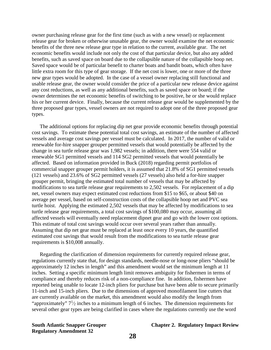owner purchasing release gear for the first time (such as with a new vessel) or replacement release gear for broken or otherwise unusable gear, the owner would examine the net economic benefits of the three new release gear type in relation to the current, available gear. The net economic benefits would include not only the cost of that particular device, but also any added benefits, such as saved space on board due to the collapsible nature of the collapsible hoop net. Saved space would be of particular benefit to charter boats and bandit boats, which often have little extra room for this type of gear storage. If the net cost is lower, one or more of the three new gear types would be adopted. In the case of a vessel owner replacing still functional and usable release gear, the owner would consider the price of a particular new release device against any cost reductions, as well as any additional benefits, such as saved space on board; if the owner determines the net economic benefits of switching to be positive, he or she would replace his or her current device. Finally, because the current release gear would be supplemented by the three proposed gear types, vessel owners are not required to adopt one of the three proposed gear types.

The additional options for replacing dip net gear provide economic benefits through potential cost savings. To estimate these potential total cost savings, an estimate of the number of affected vessels and average cost savings per vessel must be calculated. In 2017, the number of valid or renewable for-hire snapper grouper permitted vessels that would potentially be affected by the change in sea turtle release gear was 1,982 vessels; in addition, there were 554 valid or renewable SG1 permitted vessels and 114 SG2 permitted vessels that would potentially be affected. Based on information provided in Buck (2018) regarding permit portfolios of commercial snapper grouper permit holders, it is assumed that 21.8% of SG1 permitted vessels (121 vessels) and 23.6% of SG2 permitted vessels (27 vessels) also held a for-hire snapper grouper permit, bringing the estimated total number of vessels that may be affected by modifications to sea turtle release gear requirements to 2,502 vessels. For replacement of a dip net, vessel owners may expect estimated cost reductions from \$15 to \$65, or about \$40 on average per vessel, based on self-construction costs of the collapsible hoop net and PVC sea turtle hoist. Applying the estimated 2,502 vessels that may be affected by modifications to sea turtle release gear requirements, a total cost savings of \$100,080 may occur, assuming all affected vessels will eventually need replacement dipnet gear and go with the lower cost options. This estimate of total cost savings would occur over several years rather than annually. Assuming that dip net gear must be replaced at least once every 10 years, the quantified estimated cost savings that would result from the modifications to sea turtle release gear requirements is \$10,008 annually.

Regarding the clarification of dimension requirements for currently required release gear, regulations currently state that, for design standards, needle-nose or long-nose pliers "should be approximately 12 inches in length" and this amendment would set the minimum length at 11 inches. Setting a specific minimum length limit removes ambiguity for fishermen in terms of compliance and thereby reduces risk of a non-compliance fine. In addition, fishermen have reported being unable to locate 12-inch pliers for purchase but have been able to secure primarily 11-inch and 15-inch pliers. Due to the dimensions of approved monofilament line cutters that are currently available on the market, this amendment would also modify the length from "approximately"  $7\frac{1}{2}$  inches to a minimum length of 6 inches. The dimension requirements for several other gear types are being clarified in cases where the regulations currently use the word

**Regulatory Amendment 32** 

#### **South Atlantic Snapper Grouper Chapter 2. Regulatory Impact Review**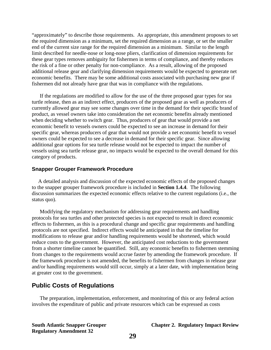"approximately" to describe those requirements. As appropriate, this amendment proposes to set the required dimension as a minimum, set the required dimension as a range, or set the smaller end of the current size range for the required dimension as a minimum. Similar to the length limit described for needle-nose or long-nose pliers, clarification of dimension requirements for these gear types removes ambiguity for fishermen in terms of compliance, and thereby reduces the risk of a fine or other penalty for non-compliance. As a result, allowing of the proposed additional release gear and clarifying dimension requirements would be expected to generate net economic benefits. There may be some additional costs associated with purchasing new gear if fishermen did not already have gear that was in compliance with the regulations.

If the regulations are modified to allow for the use of the three proposed gear types for sea turtle release, then as an indirect effect, producers of the proposed gear as well as producers of currently allowed gear may see some changes over time in the demand for their specific brand of product, as vessel owners take into consideration the net economic benefits already mentioned when deciding whether to switch gear. Thus, producers of gear that would provide a net economic benefit to vessels owners could be expected to see an increase in demand for their specific gear, whereas producers of gear that would not provide a net economic benefit to vessel owners could be expected to see a decrease in demand for their specific gear. Since allowing additional gear options for sea turtle release would not be expected to impact the number of vessels using sea turtle release gear, no impacts would be expected to the overall demand for this category of products.

#### **Snapper Grouper Framework Procedure**

A detailed analysis and discussion of the expected economic effects of the proposed changes to the snapper grouper framework procedure is included in **Section 1.4.4**. The following discussion summarizes the expected economic effects relative to the current regulations (i.e., the status quo).

Modifying the regulatory mechanism for addressing gear requirements and handling protocols for sea turtles and other protected species is not expected to result in direct economic effects to fishermen, as this is a procedural change and specific gear requirements and handling protocols are not specified. Indirect effects would be anticipated in that the timeline for modifications to release gear and/or handling requirements would be shortened, which would reduce costs to the government. However, the anticipated cost reductions to the government from a shorter timeline cannot be quantified. Still, any economic benefits to fishermen stemming from changes to the requirements would accrue faster by amending the framework procedure. If the framework procedure is not amended, the benefits to fishermen from changes in release gear and/or handling requirements would still occur, simply at a later date, with implementation being at greater cost to the government.

### **Public Costs of Regulations**

The preparation, implementation, enforcement, and monitoring of this or any federal action involves the expenditure of public and private resources which can be expressed as costs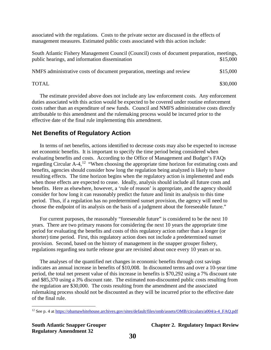associated with the regulations. Costs to the private sector are discussed in the effects of management measures. Estimated public costs associated with this action include:

South Atlantic Fishery Management Council (Council) costs of document preparation, meetings, public hearings, and information dissemination  $$15,000$ 

NMFS administrative costs of document preparation, meetings and review \$15,000

 $\text{NOTAL}$  \$30,000

The estimate provided above does not include any law enforcement costs. Any enforcement duties associated with this action would be expected to be covered under routine enforcement costs rather than an expenditure of new funds. Council and NMFS administrative costs directly attributable to this amendment and the rulemaking process would be incurred prior to the effective date of the final rule implementing this amendment.

### **Net Benefits of Regulatory Action**

In terms of net benefits, actions identified to decrease costs may also be expected to increase net economic benefits. It is important to specify the time period being considered when evaluating benefits and costs. According to the Office of Management and Budget's FAQs regarding Circular  $A^{-1}$ . "When choosing the appropriate time horizon for estimating costs and benefits, agencies should consider how long the regulation being analyzed is likely to have resulting effects. The time horizon begins when the regulatory action is implemented and ends when those effects are expected to cease. Ideally, analysis should include all future costs and benefits. Here as elsewhere, however, a 'rule of reason' is appropriate, and the agency should consider for how long it can reasonably predict the future and limit its analysis to this time period. Thus, if a regulation has no predetermined sunset provision, the agency will need to choose the endpoint of its analysis on the basis of a judgment about the foreseeable future."

For current purposes, the reasonably "foreseeable future" is considered to be the next 10 years. There are two primary reasons for considering the next 10 years the appropriate time period for evaluating the benefits and costs of this regulatory action rather than a longer (or shorter) time period. First, this regulatory action does not include a predetermined sunset provision. Second, based on the history of management in the snapper grouper fishery, regulations regarding sea turtle release gear are revisited about once every 10 years or so.

The analyses of the quantified net changes in economic benefits through cost savings indicates an annual increase in benefits of \$10,008. In discounted terms and over a 10-year time period, the total net present value of this increase in benefits is \$70,292 using a 7% discount rate and \$85,370 using a 3% discount rate. The estimated non-discounted public costs resulting from the regulation are \$30,000. The costs resulting from the amendment and the associated rulemaking process should not be discounted as they will be incurred prior to the effective date of the final rule.

 $\overline{a}$ 

**South Atlantic Snapper Grouper Chapter 2. Regulatory Impact Review**

<span id="page-36-0"></span><sup>12</sup> See p. 4 at [https://obamawhitehouse.archives.gov/sites/default/files/omb/assets/OMB/circulars/a004/a-4\\_FAQ.pdf](https://obamawhitehouse.archives.gov/sites/default/files/omb/assets/OMB/circulars/a004/a-4_FAQ.pdf)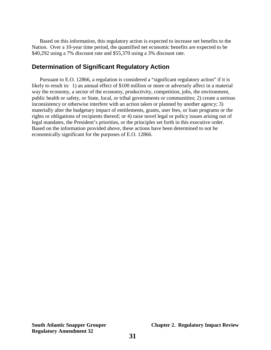Based on this information, this regulatory action is expected to increase net benefits to the Nation. Over a 10-year time period, the quantified net economic benefits are expected to be \$40,292 using a 7% discount rate and \$55,370 using a 3% discount rate.

#### **Determination of Significant Regulatory Action**

Pursuant to E.O. 12866, a regulation is considered a "significant regulatory action" if it is likely to result in: 1) an annual effect of \$100 million or more or adversely affect in a material way the economy, a sector of the economy, productivity, competition, jobs, the environment, public health or safety, or State, local, or tribal governments or communities; 2) create a serious inconsistency or otherwise interfere with an action taken or planned by another agency; 3) materially alter the budgetary impact of entitlements, grants, user fees, or loan programs or the rights or obligations of recipients thereof; or 4) raise novel legal or policy issues arising out of legal mandates, the President's priorities, or the principles set forth in this executive order. Based on the information provided above, these actions have been determined to not be economically significant for the purposes of E.O. 12866.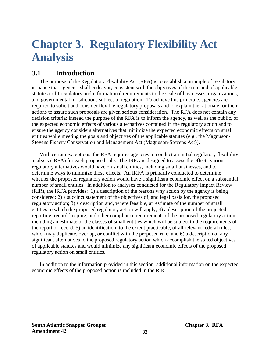# <span id="page-38-0"></span>**Chapter 3. Regulatory Flexibility Act Analysis**

# <span id="page-38-1"></span>**3.1 Introduction**

The purpose of the Regulatory Flexibility Act (RFA) is to establish a principle of regulatory issuance that agencies shall endeavor, consistent with the objectives of the rule and of applicable statutes to fit regulatory and informational requirements to the scale of businesses, organizations, and governmental jurisdictions subject to regulation. To achieve this principle, agencies are required to solicit and consider flexible regulatory proposals and to explain the rationale for their actions to assure such proposals are given serious consideration. The RFA does not contain any decision criteria; instead the purpose of the RFA is to inform the agency, as well as the public, of the expected economic effects of various alternatives contained in the regulatory action and to ensure the agency considers alternatives that minimize the expected economic effects on small entities while meeting the goals and objectives of the applicable statutes (e.g., the Magnuson-Stevens Fishery Conservation and Management Act (Magnuson-Stevens Act)).

With certain exceptions, the RFA requires agencies to conduct an initial regulatory flexibility analysis (IRFA) for each proposed rule. The IRFA is designed to assess the effects various regulatory alternatives would have on small entities, including small businesses, and to determine ways to minimize those effects. An IRFA is primarily conducted to determine whether the proposed regulatory action would have a significant economic effect on a substantial number of small entities. In addition to analyses conducted for the Regulatory Impact Review (RIR), the IRFA provides: 1) a description of the reasons why action by the agency is being considered; 2) a succinct statement of the objectives of, and legal basis for, the proposed regulatory action; 3) a description and, where feasible, an estimate of the number of small entities to which the proposed regulatory action will apply; 4) a description of the projected reporting, record-keeping, and other compliance requirements of the proposed regulatory action, including an estimate of the classes of small entities which will be subject to the requirements of the report or record; 5) an identification, to the extent practicable, of all relevant federal rules, which may duplicate, overlap, or conflict with the proposed rule; and 6) a description of any significant alternatives to the proposed regulatory action which accomplish the stated objectives of applicable statutes and would minimize any significant economic effects of the proposed regulatory action on small entities.

In addition to the information provided in this section, additional information on the expected economic effects of the proposed action is included in the RIR.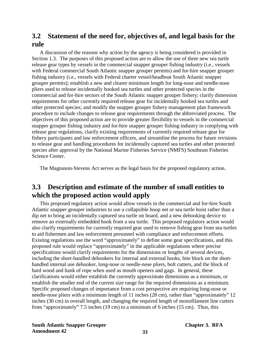# <span id="page-39-0"></span>**3.2 Statement of the need for, objectives of, and legal basis for the rule**

A discussion of the reasons why action by the agency is being considered is provided in Section 1.3. The purposes of this proposed action are to allow the use of three new sea turtle release gear types by vessels in the commercial snapper grouper fishing industry (i.e., vessels with Federal commercial South Atlantic snapper grouper permits) and for-hire snapper grouper fishing industry (i.e., vessels with Federal charter vessel/headboat South Atlantic snapper grouper permits); establish a new and clearer minimum length for long-nose and needle-nose pliers used to release incidentally hooked sea turtles and other protected species in the commercial and for-hire sectors of the South Atlantic snapper grouper fishery; clarify dimension requirements for other currently required release gear for incidentally hooked sea turtles and other protected species; and modify the snapper grouper fishery management plan framework procedure to include changes to release gear requirements through the abbreviated process. The objectives of this proposed action are to provide greater flexibility to vessels in the commercial snapper grouper fishing industry and for-hire snapper grouper fishing industry in complying with release gear regulations, clarify existing requirements of currently required release gear for fishery participants and law enforcement officers, and streamline the process for future revisions to release gear and handling procedures for incidentally captured sea turtles and other protected species after approval by the National Marine Fisheries Service (NMFS) Southeast Fisheries Science Center.

The Magnuson-Stevens Act serves as the legal basis for the proposed regulatory action.

# <span id="page-39-1"></span>**3.3 Description and estimate of the number of small entities to which the proposed action would apply**

This proposed regulatory action would allow vessels in the commercial and for-hire South Atlantic snapper grouper industries to use a collapsible hoop net or sea turtle hoist rather than a dip net to bring an incidentally captured sea turtle on board, and a new dehooking device to remove an externally embedded hook from a sea turtle. This proposed regulatory action would also clarify requirements for currently required gear used to remove fishing gear from sea turtles to aid fishermen and law enforcement personnel with compliance and enforcement efforts. Existing regulations use the word "approximately" to define some gear specifications, and this proposed rule would replace "approximately" in the applicable regulations where precise specifications would clarify requirements for the dimensions or lengths of several devices, including the short-handled dehookers for internal and external hooks, bite block on the shorthandled internal use dehooker, long-nose or needle-nose pliers, bolt cutters, and the block of hard wood and hank of rope when used as mouth openers and gags. In general, these clarifications would either establish the currently approximate dimensions as a minimum, or establish the smaller end of the current size range for the required dimensions as a minimum. Specific proposed changes of importance from a cost perspective are requiring long-nose or needle-nose pliers with a minimum length of 11 inches (28 cm), rather than "approximately" 12 inches (30 cm) in overall length, and changing the required length of monofilament line cutters from "approximately" 7.5 inches (19 cm) to a minimum of 6 inches (15 cm). Thus, this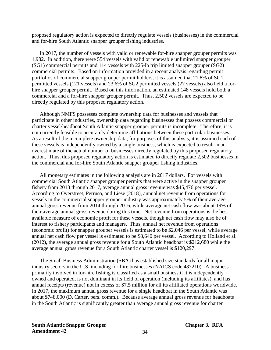proposed regulatory action is expected to directly regulate vessels (businesses) in the commercial and for-hire South Atlantic snapper grouper fishing industries.

In 2017, the number of vessels with valid or renewable for-hire snapper grouper permits was 1,982. In addition, there were 554 vessels with valid or renewable unlimited snapper grouper (SG1) commercial permits and 114 vessels with 225-lb trip limited snapper grouper (SG2) commercial permits. Based on information provided in a recent analysis regarding permit portfolios of commercial snapper grouper permit holders, it is assumed that 21.8% of SG1 permitted vessels (121 vessels) and 23.6% of SG2 permitted vessels (27 vessels) also held a forhire snapper grouper permit. Based on this information, an estimated 148 vessels hold both a commercial and a for-hire snapper grouper permit. Thus, 2,502 vessels are expected to be directly regulated by this proposed regulatory action.

Although NMFS possesses complete ownership data for businesses and vessels that participate in other industries, ownership data regarding businesses that possess commercial or charter vessel/headboat South Atlantic snapper grouper permits is incomplete. Therefore, it is not currently feasible to accurately determine affiliations between these particular businesses. As a result of the incomplete ownership data, for purposes of this analysis, it is assumed each of these vessels is independently owned by a single business, which is expected to result in an overestimate of the actual number of businesses directly regulated by this proposed regulatory action. Thus, this proposed regulatory action is estimated to directly regulate 2,502 businesses in the commercial and for-hire South Atlantic snapper grouper fishing industries.

All monetary estimates in the following analysis are in 2017 dollars. For vessels with commercial South Atlantic snapper grouper permits that were active in the snapper grouper fishery from 2013 through 2017, average annual gross revenue was \$45,476 per vessel. According to Overstreet, Perruso, and Liese (2018), annual net revenue from operations for vessels in the commercial snapper grouper industry was approximately 5% of their average annual gross revenue from 2014 through 2016, while average net cash flow was about 19% of their average annual gross revenue during this time. Net revenue from operations is the best available measure of economic profit for these vessels, though net cash flow may also be of interest to fishery participants and managers. Thus, annual net revenue from operations (economic profit) for snapper grouper vessels is estimated to be \$2,046 per vessel, while average annual net cash flow per vessel is estimated to be \$8,640 per vessel. According to Holland et al. (2012), the average annual gross revenue for a South Atlantic headboat is \$212,680 while the average annual gross revenue for a South Atlantic charter vessel is \$120,297.

The Small Business Administration (SBA) has established size standards for all major industry sectors in the U.S. including for-hire businesses (NAICS code 487210). A business primarily involved in for-hire fishing is classified as a small business if it is independently owned and operated, is not dominant in its field of operation (including its affiliates), and has annual receipts (revenue) not in excess of \$7.5 million for all its affiliated operations worldwide. In 2017, the maximum annual gross revenue for a single headboat in the South Atlantic was about \$748,000 (D. Carter, pers. comm.). Because average annual gross revenue for headboats in the South Atlantic is significantly greater than average annual gross revenue for charter

**South Atlantic Snapper Grouper Chapter 3. RFA Amendment 42 34**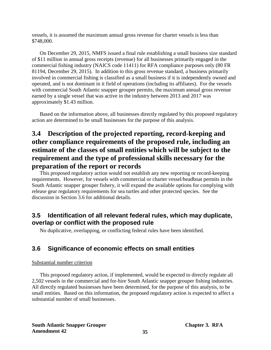vessels, it is assumed the maximum annual gross revenue for charter vessels is less than \$748,000.

On December 29, 2015, NMFS issued a final rule establishing a small business size standard of \$11 million in annual gross receipts (revenue) for all businesses primarily engaged in the commercial fishing industry (NAICS code 11411) for RFA compliance purposes only (80 FR 81194, December 29, 2015). In addition to this gross revenue standard, a business primarily involved in commercial fishing is classified as a small business if it is independently owned and operated, and is not dominant in it field of operations (including its affiliates). For the vessels with commercial South Atlantic snapper grouper permits, the maximum annual gross revenue earned by a single vessel that was active in the industry between 2013 and 2017 was approximately \$1.43 million.

Based on the information above, all businesses directly regulated by this proposed regulatory action are determined to be small businesses for the purpose of this analysis.

# <span id="page-41-0"></span>**3.4 Description of the projected reporting, record-keeping and other compliance requirements of the proposed rule, including an estimate of the classes of small entities which will be subject to the requirement and the type of professional skills necessary for the preparation of the report or records**

This proposed regulatory action would not establish any new reporting or record-keeping requirements. However, for vessels with commercial or charter vessel/headboat permits in the South Atlantic snapper grouper fishery, it will expand the available options for complying with release gear regulatory requirements for sea turtles and other protected species. See the discussion in Section 3.6 for additional details.

### <span id="page-41-1"></span>**3.5 Identification of all relevant federal rules, which may duplicate, overlap or conflict with the proposed rule**

No duplicative, overlapping, or conflicting federal rules have been identified.

### <span id="page-41-2"></span>**3.6 Significance of economic effects on small entities**

#### Substantial number criterion

This proposed regulatory action, if implemented, would be expected to directly regulate all 2,502 vessels in the commercial and for-hire South Atlantic snapper grouper fishing industries. All directly regulated businesses have been determined, for the purpose of this analysis, to be small entities. Based on this information, the proposed regulatory action is expected to affect a substantial number of small businesses.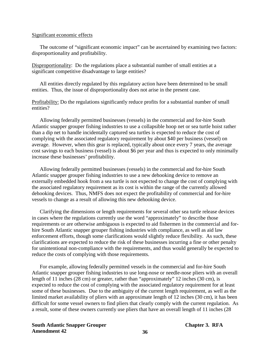#### Significant economic effects

The outcome of "significant economic impact" can be ascertained by examining two factors: disproportionality and profitability.

Disproportionality: Do the regulations place a substantial number of small entities at a significant competitive disadvantage to large entities?

All entities directly regulated by this regulatory action have been determined to be small entities. Thus, the issue of disproportionality does not arise in the present case.

Profitability: Do the regulations significantly reduce profits for a substantial number of small entities?

Allowing federally permitted businesses (vessels) in the commercial and for-hire South Atlantic snapper grouper fishing industries to use a collapsible hoop net or sea turtle hoist rather than a dip net to handle incidentally captured sea turtles is expected to reduce the cost of complying with the associated regulatory requirement by about \$40 per business (vessel) on average. However, when this gear is replaced, typically about once every 7 years, the average cost savings to each business (vessel) is about \$6 per year and thus is expected to only minimally increase these businesses' profitability.

Allowing federally permitted businesses (vessels) in the commercial and for-hire South Atlantic snapper grouper fishing industries to use a new dehooking device to remove an externally embedded hook from a sea turtle is not expected to change the cost of complying with the associated regulatory requirement as its cost is within the range of the currently allowed dehooking devices. Thus, NMFS does not expect the profitability of commercial and for-hire vessels to change as a result of allowing this new dehooking device.

Clarifying the dimensions or length requirements for several other sea turtle release devices in cases where the regulations currently use the word "approximately" to describe those requirements or are otherwise ambiguous is expected to aid fishermen in the commercial and forhire South Atlantic snapper grouper fishing industries with compliance, as well as aid law enforcement efforts, though some clarifications would slightly reduce flexibility. As such, these clarifications are expected to reduce the risk of these businesses incurring a fine or other penalty for unintentional non-compliance with the requirements, and thus would generally be expected to reduce the costs of complying with those requirements.

For example, allowing federally permitted vessels in the commercial and for-hire South Atlantic snapper grouper fishing industries to use long-nose or needle-nose pliers with an overall length of 11 inches (28 cm) or greater, rather than "approximately" 12 inches (30 cm), is expected to reduce the cost of complying with the associated regulatory requirement for at least some of these businesses. Due to the ambiguity of the current length requirement, as well as the limited market availability of pliers with an approximate length of 12 inches (30 cm), it has been difficult for some vessel owners to find pliers that clearly comply with the current regulation. As a result, some of these owners currently use pliers that have an overall length of 11 inches (28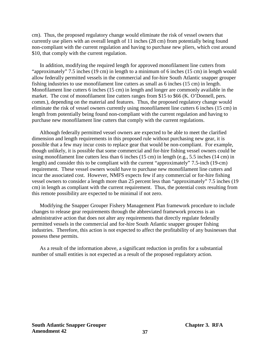cm). Thus, the proposed regulatory change would eliminate the risk of vessel owners that currently use pliers with an overall length of 11 inches (28 cm) from potentially being found non-compliant with the current regulation and having to purchase new pliers, which cost around \$10, that comply with the current regulation.

In addition, modifying the required length for approved monofilament line cutters from "approximately" 7.5 inches (19 cm) in length to a minimum of 6 inches (15 cm) in length would allow federally permitted vessels in the commercial and for-hire South Atlantic snapper grouper fishing industries to use monofilament line cutters as small as 6 inches (15 cm) in length. Monofilament line cutters 6 inches (15 cm) in length and longer are commonly available in the market. The cost of monofilament line cutters ranges from \$15 to \$66 (K. O'Donnell, pers. comm.), depending on the material and features. Thus, the proposed regulatory change would eliminate the risk of vessel owners currently using monofilament line cutters 6 inches (15 cm) in length from potentially being found non-compliant with the current regulation and having to purchase new monofilament line cutters that comply with the current regulations.

Although federally permitted vessel owners are expected to be able to meet the clarified dimension and length requirements in this proposed rule without purchasing new gear, it is possible that a few may incur costs to replace gear that would be non-compliant. For example, though unlikely, it is possible that some commercial and for-hire fishing vessel owners could be using monofilament line cutters less than 6 inches (15 cm) in length (e.g., 5.5 inches (14 cm) in length) and consider this to be compliant with the current "approximately" 7.5-inch (19-cm) requirement. These vessel owners would have to purchase new monofilament line cutters and incur the associated cost. However, NMFS expects few if any commercial or for-hire fishing vessel owners to consider a length more than 25 percent less than "approximately" 7.5 inches (19 cm) in length as compliant with the current requirement. Thus, the potential costs resulting from this remote possibility are expected to be minimal if not zero.

Modifying the Snapper Grouper Fishery Management Plan framework procedure to include changes to release gear requirements through the abbreviated framework process is an administrative action that does not alter any requirements that directly regulate federally permitted vessels in the commercial and for-hire South Atlantic snapper grouper fishing industries. Therefore, this action is not expected to affect the profitability of any businesses that possess these permits.

As a result of the information above, a significant reduction in profits for a substantial number of small entities is not expected as a result of the proposed regulatory action.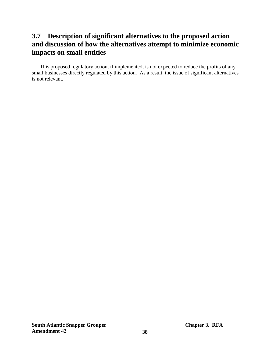# <span id="page-44-0"></span>**3.7 Description of significant alternatives to the proposed action and discussion of how the alternatives attempt to minimize economic impacts on small entities**

This proposed regulatory action, if implemented, is not expected to reduce the profits of any small businesses directly regulated by this action. As a result, the issue of significant alternatives is not relevant.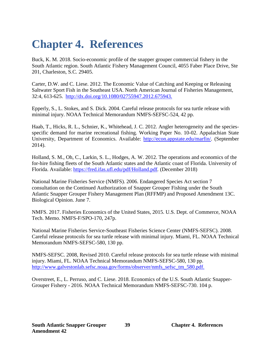# <span id="page-45-0"></span>**Chapter 4. References**

Buck, K. M. 2018. Socio-economic profile of the snapper grouper commercial fishery in the South Atlantic region. South Atlantic Fishery Management Council, 4055 Faber Place Drive, Ste 201, Charleston, S.C. 29405.

Carter, D.W. and C. Liese. 2012. The Economic Value of Catching and Keeping or Releasing Saltwater Sport Fish in the Southeast USA. North American Journal of Fisheries Management, 32:4, 613-625. [http://dx.doi.org/10.1080/02755947.2012.675943.](http://dx.doi.org/10.1080/02755947.2012.675943)

Epperly, S., L. Stokes, and S. Dick. 2004. Careful release protocols for sea turtle release with minimal injury. NOAA Technical Memorandum NMFS-SEFSC-524, 42 pp.

Haab, T., Hicks, R. L., Schnier, K., Whitehead, J. C. 2012. Angler heterogeneity and the speciesspecific demand for marine recreational fishing. Working Paper No. 10-02. Appalachian State University, Department of Economics. Available: [http://econ.appstate.edu/marfin/.](http://econ.appstate.edu/marfin/) (September 2014).

Holland, S. M., Oh, C., Larkin, S. L., Hodges, A. W. 2012. The operations and economics of the for-hire fishing fleets of the South Atlantic states and the Atlantic coast of Florida. University of Florida. Available: [https://fred.ifas.ufl.edu/pdf/Holland.pdf](https://www.google.com/url?sa=t&rct=j&q=&esrc=s&source=web&cd=1&ved=2ahUKEwj037-5w6zfAhVIl1QKHdXoCpsQFjAAegQIARAC&url=https%3A%2F%2Ffred.ifas.ufl.edu%2Fpdf%2FHolland.pdf&usg=AOvVaw0lwr_r9O27U4mE0FSemwyu)*.* (December 2018)

National Marine Fisheries Service (NMFS). 2006. Endangered Species Act section 7 consultation on the Continued Authorization of Snapper Grouper Fishing under the South Atlantic Snapper Grouper Fishery Management Plan (RFFMP) and Proposed Amendment 13C. Biological Opinion. June 7.

NMFS. 2017. Fisheries Economics of the United States, 2015. U.S. Dept. of Commerce, NOAA Tech. Memo. NMFS-F/SPO-170, 247p.

National Marine Fisheries Service-Southeast Fisheries Science Center (NMFS-SEFSC). 2008. Careful release protocols for sea turtle release with minimal injury. Miami, FL. NOAA Technical Memorandum NMFS-SEFSC-580, 130 pp.

NMFS-SEFSC. 2008, Revised 2010. Careful release protocols for sea turtle release with minimal injury. Miami, FL. NOAA Technical Memorandum NMFS-SEFSC-580, 130 pp. [http://www.galvestonlab.sefsc.noaa.gov/forms/observer/nmfs\\_sefsc\\_tm\\_580.pdf.](http://www.galvestonlab.sefsc.noaa.gov/forms/observer/nmfs_sefsc_tm_580.pdf)

Overstreet, E., L. Perruso, and C. Liese. 2018. Economics of the U.S. South Atlantic Snapper-Grouper Fishery - 2016. NOAA Technical Memorandum NMFS-SEFSC-730. 104 p.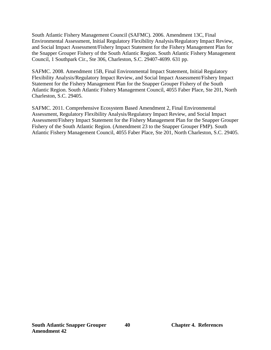South Atlantic Fishery Management Council (SAFMC). 2006. Amendment 13C, Final Environmental Assessment, Initial Regulatory Flexibility Analysis/Regulatory Impact Review, and Social Impact Assessment/Fishery Impact Statement for the Fishery Management Plan for the Snapper Grouper Fishery of the South Atlantic Region. South Atlantic Fishery Management Council, 1 Southpark Cir., Ste 306, Charleston, S.C. 29407-4699. 631 pp.

SAFMC. 2008. Amendment 15B, Final Environmental Impact Statement, Initial Regulatory Flexibility Analysis/Regulatory Impact Review, and Social Impact Assessment/Fishery Impact Statement for the Fishery Management Plan for the Snapper Grouper Fishery of the South Atlantic Region. South Atlantic Fishery Management Council, 4055 Faber Place, Ste 201, North Charleston, S.C. 29405.

SAFMC. 2011. Comprehensive Ecosystem Based Amendment 2, Final Environmental Assessment, Regulatory Flexibility Analysis/Regulatory Impact Review, and Social Impact Assessment/Fishery Impact Statement for the Fishery Management Plan for the Snapper Grouper Fishery of the South Atlantic Region. (Amendment 23 to the Snapper Grouper FMP). South Atlantic Fishery Management Council, 4055 Faber Place, Ste 201, North Charleston, S.C. 29405.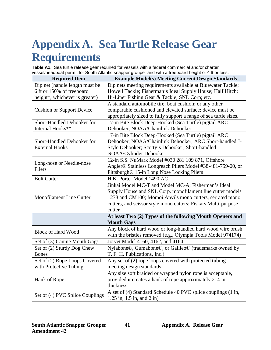# <span id="page-47-0"></span>**Appendix A. Sea Turtle Release Gear Requirements**

<span id="page-47-1"></span>**Table A1**. Sea turtle release gear required for vessels with a federal commercial and/or charter vessel/headboat permit for South Atlantic snapper grouper and with a freeboard height of 4 ft or less.

| <b>Required Item</b>              | <b>Example Model(s) Meeting Current Design Standards</b>          |
|-----------------------------------|-------------------------------------------------------------------|
| Dip net (handle length must be    | Dip nets meeting requirements available at Bluewater Tackle;      |
| 6 ft or 150% of freeboard         | Howell Tackle; Fisherman's Ideal Supply House; Half Hitch;        |
| height*, whichever is greater)    | Hi-Liner Fishing Gear & Tackle; SNL Corp; etc.                    |
|                                   | A standard automobile tire; boat cushion; or any other            |
| <b>Cushion or Support Device</b>  | comparable cushioned and elevated surface; device must be         |
|                                   | appropriately sized to fully support a range of sea turtle sizes. |
| Short-Handled Dehooker for        | 17-in Bite Block Deep-Hooked (Sea Turtle) pigtail ARC             |
| Internal Hooks**                  | Dehooker; NOAA/Chainlink Dehooker                                 |
|                                   | 17-in Bite Block Deep-Hooked (Sea Turtle) pigtail ARC             |
| <b>Short-Handled Dehooker for</b> | Dehooker; NOAA/Chainlink Dehooker; ARC Short-handled J-           |
| <b>External Hooks</b>             | Style Dehooker; Scotty's Dehooker; Short-handled                  |
|                                   | NOAA/Cylinder Dehooker                                            |
| Long-nose or Needle-nose          | 12-in S.S. NuMark Model #030 281 109 871, Offshore                |
| Pliers                            | Angler® Stainless Longreach Pliers Model #38-481-759-00, or       |
|                                   | Pittsburgh® 15-in Long Nose Locking Pliers                        |
| <b>Bolt Cutter</b>                | H.K. Porter Model 1490 AC                                         |
|                                   | Jinkai Model MC-T and Model MC-A; Fisherman's Ideal               |
|                                   | Supply House and SNL Corp. monofilament line cutter models        |
| Monofilament Line Cutter          | 1278 and CM100; Momoi Anvils mono cutters, serrated mono          |
|                                   | cutters, and scissor style mono cutters; Fiskars Multi-purpose    |
|                                   | cutter                                                            |
|                                   | At least Two (2) Types of the following Mouth Openers and         |
|                                   | <b>Mouth Gags</b>                                                 |
| <b>Block of Hard Wood</b>         | Any block of hard wood or long-handled hard wood wire brush       |
|                                   | with the bristles removed (e.g., Olympia Tools Model 974174)      |
| Set of (3) Canine Mouth Gags      | Jorvet Model 4160, 4162, and 4164                                 |
| Set of (2) Sturdy Dog Chew        | Nylabone©, Gumabone©, or Galileo© (trademarks owned by            |
| <b>Bones</b>                      | T. F. H. Publications, Inc.)                                      |
| Set of (2) Rope Loops Covered     | Any set of (2) rope loops covered with protected tubing           |
| with Protective Tubing            | meeting design standards                                          |
|                                   | Any size soft braided or wrapped nylon rope is acceptable,        |
| Hank of Rope                      | provided it creates a hank of rope approximately 2–4 in           |
|                                   | thickness                                                         |
| Set of (4) PVC Splice Couplings   | A set of (4) Standard Schedule 40 PVC splice couplings (1 in,     |
|                                   | $1.25$ in, $1.5$ in, and $2$ in)                                  |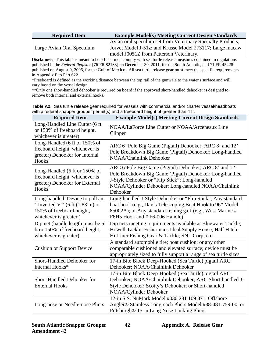| <b>Required Item</b>      | <b>Example Model(s) Meeting Current Design Standards</b>                                                                                                           |
|---------------------------|--------------------------------------------------------------------------------------------------------------------------------------------------------------------|
| Large Avian Oral Speculum | Avian oral speculum set from Veterinary Specialty Products;<br>Jorvet Model J-51z; and Krusse Model 273117; Large macaw<br>model J0051Z from Patterson Veterinary. |

**Disclaimer:** This table is meant to help fishermen comply with sea turtle release measures contained in regulations published in the *Federal Register* [76 FR 82183] on December 30, 2011, for the South Atlantic, and 71 FR 45428 published on August 9, 2006, for the Gulf of Mexico. All sea turtle release gear must meet the specific requirements in Appendix F to Part 622.

\*Freeboard is defined as the working distance between the top rail of the gunwale to the water's surface and will vary based on the vessel design.

\*\*Only one short-handled dehooker is required on board if the approved short-handled dehooker is designed to remove both internal and external hooks.

<span id="page-48-0"></span>

| Table A2. Sea turtle release gear required for vessels with commercial and/or charter vessel/headboats |  |  |  |  |  |
|--------------------------------------------------------------------------------------------------------|--|--|--|--|--|
| with a federal snapper grouper permit(s) and a freeboard height of greater than 4 ft.                  |  |  |  |  |  |

| <b>Required Item</b>                                                                                                                               | <b>Example Model(s) Meeting Current Design Standards</b>                                                                                                                                                                                |
|----------------------------------------------------------------------------------------------------------------------------------------------------|-----------------------------------------------------------------------------------------------------------------------------------------------------------------------------------------------------------------------------------------|
| Long-Handled Line Cutter (6 ft<br>or 150% of freeboard height,<br>whichever is greater)                                                            | NOAA/LaForce Line Cutter or NOAA/Arceneaux Line<br>Clipper                                                                                                                                                                              |
| Long-Handled (6 ft or 150% of<br>freeboard height, whichever is<br>greater) Dehooker for Internal<br>Hooks <sup>*</sup>                            | ARC 6' Pole Big Game (Pigtail) Dehooker; ARC 8' and 12'<br>Pole Breakdown Big Game (Pigtail) Dehooker; Long-handled<br><b>NOAA/Chainlink Dehooker</b>                                                                                   |
| Long-Handled (6 ft or 150% of<br>freeboard height, whichever is<br>greater) Dehooker for External<br>Hooks <sup>*</sup>                            | ARC 6'Pole Big Game (Pigtail) Dehooker; ARC 8' and 12'<br>Pole Breakdown Big Game (Pigtail) Dehooker; Long-handled<br>J-Style Dehooker or "Flip Stick"; Long-handled<br>NOAA/Cylinder Dehooker; Long-handled NOAA/Chainlink<br>Dehooker |
| Long-handled Device to pull an<br>"Inverted V" $(6 \text{ ft } (1.83 \text{ m}) \text{ or }$<br>150% of freeboard height,<br>whichever is greater) | Long-handled J-Style Dehooker or "Flip Stick"; Any standard<br>boat hook (e.g., Davis Telescoping Boat Hook to 96" Model<br>85002A); or Any standard fishing gaff (e.g., West Marine #<br>F6H5 Hook and #F6-006 Handle)                 |
| Dip net (handle length must be 6<br>ft or 150% of freeboard height,<br>whichever is greater)                                                       | Dip nets meeting requirements available at Bluewater Tackle;<br>Howell Tackle; Fishermans Ideal Supply House; Half Hitch;<br>Hi-Liner Fishing Gear & Tackle; SNL Corp; etc.                                                             |
| <b>Cushion or Support Device</b>                                                                                                                   | A standard automobile tire; boat cushion; or any other<br>comparable cushioned and elevated surface; device must be<br>appropriately sized to fully support a range of sea turtle sizes                                                 |
| Short-Handled Dehooker for<br>Internal Hooks*                                                                                                      | 17-in Bite Block Deep-Hooked (Sea Turtle) pigtail ARC<br>Dehooker; NOAA/Chainlink Dehooker                                                                                                                                              |
| <b>Short-Handled Dehooker for</b><br><b>External Hooks</b>                                                                                         | 17-in Bite Block Deep-Hooked (Sea Turtle) pigtail ARC<br>Dehooker; NOAA/Chainlink Dehooker; ARC Short-handled J-<br>Style Dehooker; Scotty's Dehooker; or Short-handled<br>NOAA/Cylinder Dehooker                                       |
| Long-nose or Needle-nose Pliers                                                                                                                    | 12-in S.S. NuMark Model #030 281 109 871, Offshore<br>Angler® Stainless Longreach Pliers Model #38-481-759-00, or<br>Pittsburgh® 15-in Long Nose Locking Pliers                                                                         |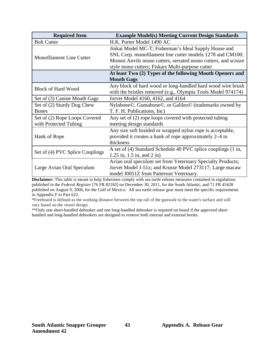| <b>Required Item</b>            | <b>Example Model(s) Meeting Current Design Standards</b>                                                                                                                                                                                |
|---------------------------------|-----------------------------------------------------------------------------------------------------------------------------------------------------------------------------------------------------------------------------------------|
| <b>Bolt Cutter</b>              | H.K. Porter Model 1490 AC                                                                                                                                                                                                               |
| <b>Monofilament Line Cutter</b> | Jinkai Model MC-T; Fisherman's Ideal Supply House and<br>SNL Corp. monofilament line cutter models 1278 and CM100;<br>Momoi Anvils mono cutters, serrated mono cutters, and scissor<br>style mono cutters; Fiskars Multi-purpose cutter |
|                                 | At least Two (2) Types of the following Mouth Openers and<br><b>Mouth Gags</b>                                                                                                                                                          |
| <b>Block of Hard Wood</b>       | Any block of hard wood or long-handled hard wood wire brush<br>with the bristles removed (e.g., Olympia Tools Model 974174)                                                                                                             |
| Set of (3) Canine Mouth Gags    | Jorvet Model 4160, 4162, and 4164                                                                                                                                                                                                       |
| Set of (2) Sturdy Dog Chew      | Nylabone©, Gumabone©, or Galileo© (trademarks owned by                                                                                                                                                                                  |
| <b>Bones</b>                    | T. F. H. Publications, Inc)                                                                                                                                                                                                             |
| Set of (2) Rope Loops Covered   | Any set of (2) rope loops covered with protected tubing                                                                                                                                                                                 |
| with Protected Tubing           | meeting design standards                                                                                                                                                                                                                |
| Hank of Rope                    | Any size soft braided or wrapped nylon rope is acceptable,                                                                                                                                                                              |
|                                 | provided it creates a hank of rope approximately 2–4 in                                                                                                                                                                                 |
|                                 | thickness                                                                                                                                                                                                                               |
| Set of (4) PVC Splice Couplings | A set of (4) Standard Schedule 40 PVC splice couplings (1 in,<br>$1.25$ in, $1.5$ in, and $2$ in)                                                                                                                                       |
| Large Avian Oral Speculum       | Avian oral speculum set from Veterinary Specialty Products;                                                                                                                                                                             |
|                                 | Jorvet Model J-51z; and Krusse Model 273117; Large macaw                                                                                                                                                                                |
|                                 | model J0051Z from Patterson Veterinary.                                                                                                                                                                                                 |

**Disclaimer:** This table is meant to help fishermen comply with sea turtle release measures contained in regulations published in the *Federal Register* [76 FR 82183] on December 30, 2011, for the South Atlantic, and 71 FR 45428 published on August 9, 2006, for the Gulf of Mexico. All sea turtle release gear must meet the specific requirements in Appendix F to Part 622.

\*Freeboard is defined as the working distance between the top rail of the gunwale to the water's surface and will vary based on the vessel design.

\*\*Only one short-handled dehooker and one long-handled dehooker is required on board if the approved shorthandled and long-handled dehookers are designed to remove both internal and external hooks.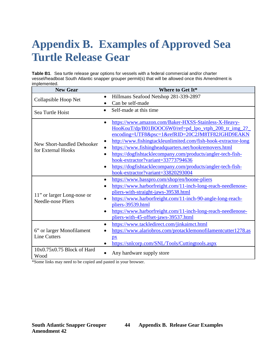# <span id="page-50-0"></span>**Appendix B. Examples of Approved Sea Turtle Release Gear**

<span id="page-50-1"></span>**Table B1**.Sea turtle release gear options for vessels with a federal commercial and/or charter vessel/headboat South Atlantic snapper grouper permit(s) that will be allowed once this Amendment is implemented.

| <b>New Gear</b>                                         | Where to Get It*                                                                                                                                                                                                                                                                                                                                                                                                                                                                                                                           |
|---------------------------------------------------------|--------------------------------------------------------------------------------------------------------------------------------------------------------------------------------------------------------------------------------------------------------------------------------------------------------------------------------------------------------------------------------------------------------------------------------------------------------------------------------------------------------------------------------------------|
| $\bullet$<br>Collapsible Hoop Net                       | Hillmans Seafood Netshop 281-339-2897                                                                                                                                                                                                                                                                                                                                                                                                                                                                                                      |
|                                                         | Can be self-made                                                                                                                                                                                                                                                                                                                                                                                                                                                                                                                           |
| Sea Turtle Hoist                                        | Self-made at this time<br>$\bullet$                                                                                                                                                                                                                                                                                                                                                                                                                                                                                                        |
| New Short-handled Dehooker<br>for External Hooks        | https://www.amazon.com/Baker-HXSS-Stainless-X-Heavy-<br>$\bullet$<br>HooKouT/dp/B01BOOC6W0/ref=pd_lpo_vtph_200_tr_img_2?<br>encoding=UTF8&psc=1&refRID=20C2JM8TF82JGHD9EAKN<br>http://www.fishingtackleunlimited.com/fish-hook-extractor-long<br>$\bullet$<br>https://www.fishingheadquarters.net/hookremovers.html<br>https://dogfishtacklecompany.com/products/angler-tech-fish-<br>$\bullet$<br>hook-extractor?variant=33773794636<br>https://dogfishtacklecompany.com/products/angler-tech-fish-<br>hook-extractor?variant=33820293004 |
| 11" or larger Long-nose or<br><b>Needle-nose Pliers</b> | https://www.basspro.com/shop/en/boone-pliers<br>$\bullet$<br>https://www.harborfreight.com/11-inch-long-reach-needlenose-<br>pliers-with-straight-jaws-39538.html<br>https://www.harborfreight.com/11-inch-90-angle-long-reach-<br>$\bullet$<br>pliers-39539.html<br>https://www.harborfreight.com/11-inch-long-reach-needlenose-<br>$\bullet$<br>pliers-with-45-offset-jaws-39537.html                                                                                                                                                    |
| 6" or larger Monofilament<br><b>Line Cutters</b>        | https://www.tackledirect.com/jinkaimct.html<br>$\bullet$<br>https://www.alariobros.com/protacklemonofilamentcutter1278.as<br>px<br>https://snlcorp.com/SNL/Tools/Cuttingtools.aspx<br>$\bullet$                                                                                                                                                                                                                                                                                                                                            |
| 10x0.75x0.75 Block of Hard<br>Wood                      | Any hardware supply store                                                                                                                                                                                                                                                                                                                                                                                                                                                                                                                  |

\*Some links may need to be copied and pasted in your browser.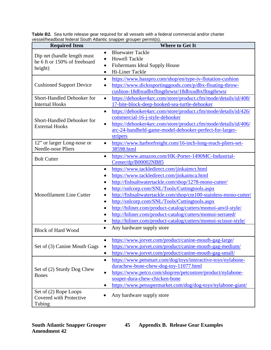| roooci/incaaboat roachar oodtii / tiidritio onappor groupor poriniit(o).<br><b>Required Item</b> | <b>Where to Get It</b>                                                                                                                                                                                                                                                                                                                                                                                                                                                                                                        |
|--------------------------------------------------------------------------------------------------|-------------------------------------------------------------------------------------------------------------------------------------------------------------------------------------------------------------------------------------------------------------------------------------------------------------------------------------------------------------------------------------------------------------------------------------------------------------------------------------------------------------------------------|
| $\bullet$<br>Dip net (handle length must<br>be 6 ft or 150% of freeboard<br>height)              | <b>Bluewater Tackle</b><br><b>Howell Tackle</b><br><b>Fishermans Ideal Supply House</b><br>Hi-Liner Tackle                                                                                                                                                                                                                                                                                                                                                                                                                    |
| $\bullet$<br><b>Cushioned Support Device</b>                                                     | https://www.basspro.com/shop/en/type-iv-flotation-cushion<br>https://www.dickssportinggoods.com/p/dbx-floating-throw-<br>cushion-18dbxudbxfltngthrwsr/18dbxudbxfltngthrwsr                                                                                                                                                                                                                                                                                                                                                    |
| <b>Short-Handled Dehooker for</b><br>$\bullet$<br><b>Internal Hooks</b>                          | https://dehooker4arc.com/store/product.cfm/mode/details/id/408/<br>17-bite-block-deep-hooked-sea-turtle-dehooker                                                                                                                                                                                                                                                                                                                                                                                                              |
| $\bullet$<br>Short-Handled Dehooker for<br>$\bullet$<br><b>External Hooks</b>                    | https://dehooker4arc.com/store/product.cfm/mode/details/id/426/<br>commercial-16-j-style-dehooker<br>https://dehooker4arc.com/store/product.cfm/mode/details/id/406/<br>arc-24-handheld-game-model-dehooker-perfect-for-larger-<br>stripers                                                                                                                                                                                                                                                                                   |
| 12" or larger Long-nose or<br>$\bullet$<br><b>Needle-nose Pliers</b>                             | https://www.harborfreight.com/16-inch-long-reach-pliers-set-<br>38598.html                                                                                                                                                                                                                                                                                                                                                                                                                                                    |
| $\bullet$<br><b>Bolt Cutter</b>                                                                  | https://www.amazon.com/HK-Porter-1490MC-Industrial-<br>Center/dp/B00002NB85                                                                                                                                                                                                                                                                                                                                                                                                                                                   |
| $\bullet$<br><b>Monofilament Line Cutter</b><br>$\bullet$                                        | https://www.tackledirect.com/jinkaimct.html<br>https://www.tackledirect.com/jinkaimca.html<br>http://fishsaltwatertackle.com/shop/1278-mono-cutter/<br>http://snlcorp.com/SNL/Tools/Cuttingtools.aspx<br>http://fishsaltwatertackle.com/shop/cm100-stainless-mono-cutter/<br>http://snlcorp.com/SNL/Tools/Cuttingtools.aspx<br>http://hiliner.com/product-catalog/cutters/momoi-anvil-style/<br>http://hiliner.com/product-catalog/cutters/momoi-serrated/<br>http://hiliner.com/product-catalog/cutters/momoi-scissor-style/ |
| $\bullet$<br><b>Block of Hard Wood</b>                                                           | Any hardware supply store                                                                                                                                                                                                                                                                                                                                                                                                                                                                                                     |
| Set of (3) Canine Mouth Gags                                                                     | https://www.jorvet.com/product/canine-mouth-gag-large/<br>https://www.jorvet.com/product/canine-mouth-gag-medium/<br>https://www.jorvet.com/product/canine-mouth-gag-small/                                                                                                                                                                                                                                                                                                                                                   |
| $\bullet$<br>Set of (2) Sturdy Dog Chew<br>$\bullet$<br><b>Bones</b>                             | https://www.petsmart.com/dog/toys/interactive-toys/nylabone-<br>durachew-bone-chew-dog-toy-11077.html<br>https://www.petco.com/shop/en/petcostore/product/nylabone-<br>souper-dura-chew-chicken-bone<br>https://www.petsupermarket.com/dog/dog-toys/nylabone-giant/                                                                                                                                                                                                                                                           |
| Set of (2) Rope Loops<br>Covered with Protective<br>Tubing                                       | Any hardware supply store                                                                                                                                                                                                                                                                                                                                                                                                                                                                                                     |

<span id="page-51-0"></span>**Table B2.** Sea turtle release gear required for all vessels with a federal commercial and/or charter vessel/headboat federal South Atlantic snapper grouper permit(s).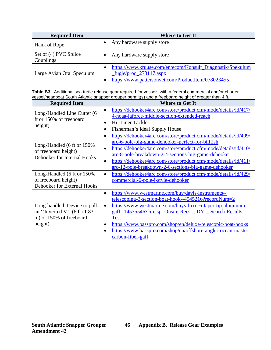| <b>Required Item</b>               | <b>Where to Get It</b>                                                                                                                                                  |
|------------------------------------|-------------------------------------------------------------------------------------------------------------------------------------------------------------------------|
| Hank of Rope                       | Any hardware supply store                                                                                                                                               |
| Set of (4) PVC Splice<br>Couplings | Any hardware supply store                                                                                                                                               |
| Large Avian Oral Speculum          | https://www.kruuse.com/en/ecom/Konsult_Diagnostik/Spekulum<br>$\bullet$<br>$fugle/prod_273117.$ aspx<br>https://www.pattersonvet.com/ProductItem/078023455<br>$\bullet$ |

<span id="page-52-0"></span>**Table B3.** Additional sea turtle release gear required for vessels with a federal commercial and/or charter vessel/headboat South Atlantic snapper grouper permit(s) and a freeboard height of greater than 4 ft.

| <b>Required Item</b>                                                                                | <b>Where to Get It</b>                                                                                                                                                                                                                                                                                                                                                                                                              |
|-----------------------------------------------------------------------------------------------------|-------------------------------------------------------------------------------------------------------------------------------------------------------------------------------------------------------------------------------------------------------------------------------------------------------------------------------------------------------------------------------------------------------------------------------------|
| Long-Handled Line Cutter (6<br>ft or 150% of freeboard<br>height)                                   | https://dehooker4arc.com/store/product.cfm/mode/details/id/417/<br>$\bullet$<br>4-noaa-laforce-middle-section-extended-reach<br>Hi-Liner Tackle<br>$\bullet$<br>Fisherman's Ideal Supply House<br>$\bullet$                                                                                                                                                                                                                         |
| Long-Handled (6 ft or 150%<br>of freeboard height)<br>Dehooker for Internal Hooks                   | https://dehooker4arc.com/store/product.cfm/mode/details/id/409/<br>$\bullet$<br>arc-6-pole-big-game-dehooker-perfect-for-billfish<br>https://dehooker4arc.com/store/product.cfm/mode/details/id/410/<br>$\bullet$<br>arc-8-pole-breakdown-2-4-sections-big-game-dehooker<br>https://dehooker4arc.com/store/product.cfm/mode/details/id/411/<br>$\bullet$<br>arc-12-pole-breakdown-2-6-sections-big-game-dehooker                    |
| Long-Handled (6 ft or 150%<br>of freeboard height)<br>Dehooker for External Hooks                   | https://dehooker4arc.com/store/product.cfm/mode/details/id/429/<br>$\bullet$<br>commercial-6-pole-j-style-dehooker                                                                                                                                                                                                                                                                                                                  |
| Long-handled Device to pull<br>an "Inverted V" (6 ft $(1.83)$<br>m) or 150% of freeboard<br>height) | https://www.westmarine.com/buy/davis-instruments--<br>$\bullet$<br>telescoping-3-section-boat-hook--4545216?recordNum=2<br>https://www.westmarine.com/buy/aftco--6-taper-tip-aluminum-<br>$\bullet$<br>gaff--14535546?cm_sp=Onsite-Recs-_-DY-_-Search-Results-<br><b>Test</b><br>https://www.basspro.com/shop/en/deluxe-telescopic-boat-hooks<br>https://www.basspro.com/shop/en/offshore-angler-ocean-master-<br>carbon-fiber-gaff |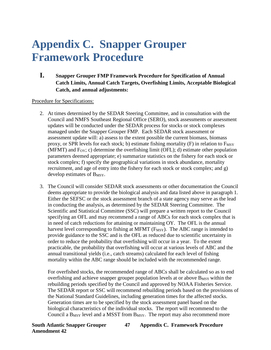# <span id="page-53-0"></span>**Appendix C. Snapper Grouper Framework Procedure**

#### **I. Snapper Grouper FMP Framework Procedure for Specification of Annual Catch Limits, Annual Catch Targets, Overfishing Limits, Acceptable Biological Catch, and annual adjustments:**

#### Procedure for Specifications:

- 2. At times determined by the SEDAR Steering Committee, and in consultation with the Council and NMFS Southeast Regional Office (SERO), stock assessments or assessment updates will be conducted under the SEDAR process for stocks or stock complexes managed under the Snapper Grouper FMP. Each SEDAR stock assessment or assessment update will: a) assess to the extent possible the current biomass, biomass proxy, or SPR levels for each stock; b) estimate fishing mortality  $(F)$  in relation to  $F_{\text{MSY}}$ (MFMT) and  $F_{OY}$ ; c) determine the overfishing limit (OFL); d) estimate other population parameters deemed appropriate; e) summarize statistics on the fishery for each stock or stock complex; f) specify the geographical variations in stock abundance, mortality recruitment, and age of entry into the fishery for each stock or stock complex; and g) develop estimates of B<sub>MSY</sub>.
- 3. The Council will consider SEDAR stock assessments or other documentation the Council deems appropriate to provide the biological analysis and data listed above in paragraph 1. Either the SEFSC or the stock assessment branch of a state agency may serve as the lead in conducting the analysis, as determined by the SEDAR Steering Committee. The Scientific and Statistical Committee (SSC) will prepare a written report to the Council specifying an OFL and may recommend a range of ABCs for each stock complex that is in need of catch reductions for attaining or maintaining OY. The OFL is the annual harvest level corresponding to fishing at MFMT ( $F_{MSY}$ ). The ABC range is intended to provide guidance to the SSC and is the OFL as reduced due to scientific uncertainty in order to reduce the probability that overfishing will occur in a year. To the extent practicable, the probability that overfishing will occur at various levels of ABC and the annual transitional yields (i.e., catch streams) calculated for each level of fishing mortality within the ABC range should be included with the recommended range.

For overfished stocks, the recommended range of ABCs shall be calculated so as to end overfishing and achieve snapper grouper population levels at or above  $B_{MSY}$  within the rebuilding periods specified by the Council and approved by NOAA Fisheries Service. The SEDAR report or SSC will recommend rebuilding periods based on the provisions of the National Standard Guidelines, including generation times for the affected stocks. Generation times are to be specified by the stock assessment panel based on the biological characteristics of the individual stocks. The report will recommend to the Council a B<sub>MSY</sub> level and a MSST from B<sub>MSY</sub>. The report may also recommend more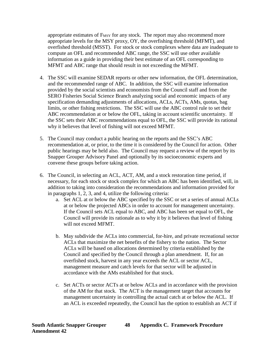appropriate estimates of  $F_{MSY}$  for any stock. The report may also recommend more appropriate levels for the MSY proxy, OY, the overfishing threshold (MFMT), and overfished threshold (MSST). For stock or stock complexes where data are inadequate to compute an OFL and recommended ABC range, the SSC will use other available information as a guide in providing their best estimate of an OFL corresponding to MFMT and ABC range that should result in not exceeding the MFMT.

- 4. The SSC will examine SEDAR reports or other new information, the OFL determination, and the recommended range of ABC. In addition, the SSC will examine information provided by the social scientists and economists from the Council staff and from the SERO Fisheries Social Science Branch analyzing social and economic impacts of any specification demanding adjustments of allocations, ACLs, ACTs, AMs, quotas, bag limits, or other fishing restrictions. The SSC will use the ABC control rule to set their ABC recommendation at or below the OFL, taking in account scientific uncertainty. If the SSC sets their ABC recommendations equal to OFL, the SSC will provide its rational why it believes that level of fishing will not exceed MFMT.
- 5. The Council may conduct a public hearing on the reports and the SSC's ABC recommendation at, or prior, to the time it is considered by the Council for action. Other public hearings may be held also. The Council may request a review of the report by its Snapper Grouper Advisory Panel and optionally by its socioeconomic experts and convene these groups before taking action.
- 6. The Council, in selecting an ACL, ACT, AM, and a stock restoration time period, if necessary, for each stock or stock complex for which an ABC has been identified, will, in addition to taking into consideration the recommendations and information provided for in paragraphs 1, 2, 3, and 4, utilize the following criteria:
	- a. Set ACL at or below the ABC specified by the SSC or set a series of annual ACLs at or below the projected ABCs in order to account for management uncertainty. If the Council sets ACL equal to ABC, and ABC has been set equal to OFL, the Council will provide its rationale as to why it by it believes that level of fishing will not exceed MFMT.
	- b. May subdivide the ACLs into commercial, for-hire, and private recreational sector ACLs that maximize the net benefits of the fishery to the nation. The Sector ACLs will be based on allocations determined by criteria established by the Council and specified by the Council through a plan amendment. If, for an overfished stock, harvest in any year exceeds the ACL or sector ACL, management measure and catch levels for that sector will be adjusted in accordance with the AMs established for that stock.
	- c. Set ACTs or sector ACTs at or below ACLs and in accordance with the provision of the AM for that stock. The ACT is the management target that accounts for management uncertainty in controlling the actual catch at or below the ACL. If an ACL is exceeded repeatedly, the Council has the option to establish an ACT if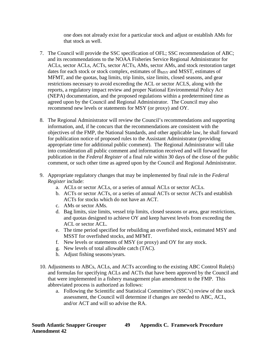one does not already exist for a particular stock and adjust or establish AMs for that stock as well.

- 7. The Council will provide the SSC specification of OFL; SSC recommendation of ABC; and its recommendations to the NOAA Fisheries Service Regional Administrator for ACLs, sector ACLs, ACTs, sector ACTs, AMs, sector AMs, and stock restoration target dates for each stock or stock complex, estimates of B<sub>MSY</sub> and MSST, estimates of MFMT, and the quotas, bag limits, trip limits, size limits, closed seasons, and gear restrictions necessary to avoid exceeding the ACL or sector ACLS, along with the reports, a regulatory impact review and proper National Environmental Policy Act (NEPA) documentation, and the proposed regulations within a predetermined time as agreed upon by the Council and Regional Administrator. The Council may also recommend new levels or statements for MSY (or proxy) and OY.
- 8. The Regional Administrator will review the Council's recommendations and supporting information, and, if he concurs that the recommendations are consistent with the objectives of the FMP, the National Standards, and other applicable law, he shall forward for publication notice of proposed rules to the Assistant Administrator (providing appropriate time for additional public comment). The Regional Administrator will take into consideration all public comment and information received and will forward for publication in the *Federal Register* of a final rule within 30 days of the close of the public comment, or such other time as agreed upon by the Council and Regional Administrator.
- 9. Appropriate regulatory changes that may be implemented by final rule in the *Federal Register* include:
	- a. ACLs or sector ACLs, or a series of annual ACLs or sector ACLs.
	- b. ACTs or sector ACTs, or a series of annual ACTs or sector ACTs and establish ACTs for stocks which do not have an ACT.
	- c. AMs or sector AMs.
	- d. Bag limits, size limits, vessel trip limits, closed seasons or area, gear restrictions, and quotas designed to achieve OY and keep harvest levels from exceeding the ACL or sector ACL.
	- e. The time period specified for rebuilding an overfished stock, estimated MSY and MSST for overfished stocks, and MFMT.
	- f. New levels or statements of MSY (or proxy) and OY for any stock.
	- g. New levels of total allowable catch (TAC).
	- h. Adjust fishing seasons/years.
- 10. Adjustments to ABCs, ACLs, and ACTs according to the existing ABC Control Rule(s) and formulas for specifying ACLs and ACTs that have been approved by the Council and that were implemented in a fishery management plan amendment to the FMP. This abbreviated process is authorized as follows:
	- a. Following the Scientific and Statistical Committee's (SSC's) review of the stock assessment, the Council will determine if changes are needed to ABC, ACL, and/or ACT and will so advise the RA.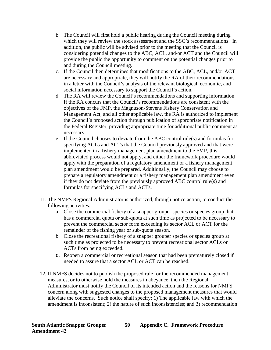- b. The Council will first hold a public hearing during the Council meeting during which they will review the stock assessment and the SSC's recommendations. In addition, the public will be advised prior to the meeting that the Council is considering potential changes to the ABC, ACL, and/or ACT and the Council will provide the public the opportunity to comment on the potential changes prior to and during the Council meeting.
- c. If the Council then determines that modifications to the ABC, ACL, and/or ACT are necessary and appropriate, they will notify the RA of their recommendations in a letter with the Council's analysis of the relevant biological, economic, and social information necessary to support the Council's action.
- d. The RA will review the Council's recommendations and supporting information. If the RA concurs that the Council's recommendations are consistent with the objectives of the FMP, the Magnuson-Stevens Fishery Conservation and Management Act, and all other applicable law, the RA is authorized to implement the Council's proposed action through publication of appropriate notification in the Federal Register, providing appropriate time for additional public comment as necessary.
- e. If the Council chooses to deviate from the ABC control rule(s) and formulas for specifying ACLs and ACTs that the Council previously approved and that were implemented in a fishery management plan amendment to the FMP, this abbreviated process would not apply, and either the framework procedure would apply with the preparation of a regulatory amendment or a fishery management plan amendment would be prepared. Additionally, the Council may choose to prepare a regulatory amendment or a fishery management plan amendment even if they do not deviate from the previously approved ABC control rule(s) and formulas for specifying ACLs and ACTs.
- 11. The NMFS Regional Administrator is authorized, through notice action, to conduct the following activities.
	- a. Close the commercial fishery of a snapper grouper species or species group that has a commercial quota or sub-quota at such time as projected to be necessary to prevent the commercial sector form exceeding its sector ACL or ACT for the remainder of the fishing year or sub-quota season.
	- b. Close the recreational fishery of a snapper grouper species or species group at such time as projected to be necessary to prevent recreational sector ACLs or ACTs from being exceeded.
	- c. Reopen a commercial or recreational season that had been prematurely closed if needed to assure that a sector ACL or ACT can be reached.
- 12. If NMFS decides not to publish the proposed rule for the recommended management measures, or to otherwise hold the measures in abeyance, then the Regional Administrator must notify the Council of its intended action and the reasons for NMFS concern along with suggested changes to the proposed management measures that would alleviate the concerns. Such notice shall specify: 1) The applicable law with which the amendment is inconsistent; 2) the nature of such inconsistencies; and 3) recommendation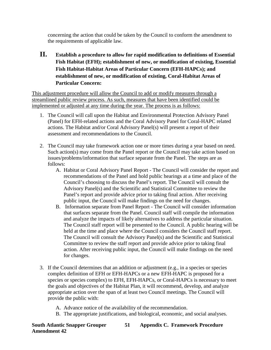concerning the action that could be taken by the Council to conform the amendment to the requirements of applicable law.

**II. Establish a procedure to allow for rapid modification to definitions of Essential Fish Habitat (EFH); establishment of new, or modification of existing, Essential Fish Habitat-Habitat Areas of Particular Concern (EFH-HAPCs); and establishment of new, or modification of existing, Coral-Habitat Areas of Particular Concern:**

This adjustment procedure will allow the Council to add or modify measures through a streamlined public review process. As such, measures that have been identified could be implemented or adjusted at any time during the year. The process is as follows:

- 1. The Council will call upon the Habitat and Environmental Protection Advisory Panel (Panel) for EFH-related actions and the Coral Advisory Panel for Coral-HAPC related actions. The Habitat and/or Coral Advisory Panel(s) will present a report of their assessment and recommendations to the Council.
- 2. The Council may take framework action one or more times during a year based on need. Such action(s) may come from the Panel report or the Council may take action based on issues/problems/information that surface separate from the Panel. The steps are as follows:
	- A. Habitat or Coral Advisory Panel Report The Council will consider the report and recommendations of the Panel and hold public hearings at a time and place of the Council's choosing to discuss the Panel's report. The Council will consult the Advisory Panel(s) and the Scientific and Statistical Committee to review the Panel's report and provide advice prior to taking final action. After receiving public input, the Council will make findings on the need for changes.
	- B. Information separate from Panel Report The Council will consider information that surfaces separate from the Panel. Council staff will compile the information and analyze the impacts of likely alternatives to address the particular situation. The Council staff report will be presented to the Council. A public hearing will be held at the time and place where the Council considers the Council staff report. The Council will consult the Advisory Panel(s) and the Scientific and Statistical Committee to review the staff report and provide advice prior to taking final action. After receiving public input, the Council will make findings on the need for changes.
- 3. If the Council determines that an addition or adjustment (e.g., in a species or species complex definition of EFH or EFH-HAPCs or a new EFH-HAPC is proposed for a species or species complex) to EFH, EFH-HAPCs, or Coral-HAPCs is necessary to meet the goals and objectives of the Habitat Plan, it will recommend, develop, and analyze appropriate action over the span of at least two Council meetings. The Council will provide the public with:
	- A. Advance notice of the availability of the recommendation.
	- B. The appropriate justifications, and biological, economic, and social analyses.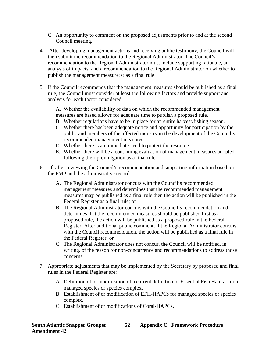- C. An opportunity to comment on the proposed adjustments prior to and at the second Council meeting.
- 4. After developing management actions and receiving public testimony, the Council will then submit the recommendation to the Regional Administrator. The Council's recommendation to the Regional Administrator must include supporting rationale, an analysis of impacts, and a recommendation to the Regional Administrator on whether to publish the management measure(s) as a final rule.
- 5. If the Council recommends that the management measures should be published as a final rule, the Council must consider at least the following factors and provide support and analysis for each factor considered:

A. Whether the availability of data on which the recommended management measures are based allows for adequate time to publish a proposed rule.

- B. Whether regulations have to be in place for an entire harvest/fishing season.
- C. Whether there has been adequate notice and opportunity for participation by the public and members of the affected industry in the development of the Council's recommended management measures.
- D. Whether there is an immediate need to protect the resource.
- E. Whether there will be a continuing evaluation of management measures adopted following their promulgation as a final rule.
- 6. If, after reviewing the Council's recommendation and supporting information based on the FMP and the administrative record:
	- A. The Regional Administrator concurs with the Council's recommended management measures and determines that the recommended management measures may be published as a final rule then the action will be published in the Federal Register as a final rule; or
	- B. The Regional Administrator concurs with the Council's recommendation and determines that the recommended measures should be published first as a proposed rule, the action will be published as a proposed rule in the Federal Register. After additional public comment, if the Regional Administrator concurs with the Council recommendation, the action will be published as a final rule in the Federal Register; or
	- C. The Regional Administrator does not concur, the Council will be notified, in writing, of the reason for non-concurrence and recommendations to address those concerns.
- 7. Appropriate adjustments that may be implemented by the Secretary by proposed and final rules in the Federal Register are:
	- A. Definition of or modification of a current definition of Essential Fish Habitat for a managed species or species complex.
	- B. Establishment of or modification of EFH-HAPCs for managed species or species complex.
	- C. Establishment of or modifications of Coral-HAPCs.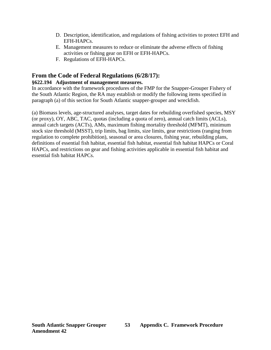- D. Description, identification, and regulations of fishing activities to protect EFH and EFH-HAPCs.
- E. Management measures to reduce or eliminate the adverse effects of fishing activities or fishing gear on EFH or EFH-HAPCs.
- F. Regulations of EFH-HAPCs.

### **From the Code of Federal Regulations (6/28/17):**

#### **§622.194 Adjustment of management measures.**

In accordance with the framework procedures of the FMP for the Snapper-Grouper Fishery of the South Atlantic Region, the RA may establish or modify the following items specified in paragraph (a) of this section for South Atlantic snapper-grouper and wreckfish.

(a) Biomass levels, age-structured analyses, target dates for rebuilding overfished species, MSY (or proxy), OY, ABC, TAC, quotas (including a quota of zero), annual catch limits (ACLs), annual catch targets (ACTs), AMs, maximum fishing mortality threshold (MFMT), minimum stock size threshold (MSST), trip limits, bag limits, size limits, gear restrictions (ranging from regulation to complete prohibition), seasonal or area closures, fishing year, rebuilding plans, definitions of essential fish habitat, essential fish habitat, essential fish habitat HAPCs or Coral HAPCs, and restrictions on gear and fishing activities applicable in essential fish habitat and essential fish habitat HAPCs.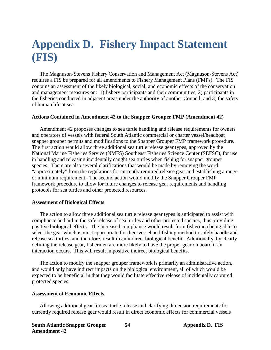# <span id="page-60-0"></span>**Appendix D. Fishery Impact Statement (FIS)**

The Magnuson-Stevens Fishery Conservation and Management Act (Magnuson-Stevens Act) requires a FIS be prepared for all amendments to Fishery Management Plans (FMPs). The FIS contains an assessment of the likely biological, social, and economic effects of the conservation and management measures on: 1) fishery participants and their communities; 2) participants in the fisheries conducted in adjacent areas under the authority of another Council; and 3) the safety of human life at sea.

#### **Actions Contained in Amendment 42 to the Snapper Grouper FMP (Amendment 42)**

Amendment 42 proposes changes to sea turtle handling and release requirements for owners and operators of vessels with federal South Atlantic commercial or charter vessel/headboat snapper grouper permits and modifications to the Snapper Grouper FMP framework procedure. The first action would allow three additional sea turtle release gear types, approved by the National Marine Fisheries Service (NMFS) Southeast Fisheries Science Center (SEFSC), for use in handling and releasing incidentally caught sea turtles when fishing for snapper grouper species. There are also several clarifications that would be made by removing the word "approximately" from the regulations for currently required release gear and establishing a range or minimum requirement. The second action would modify the Snapper Grouper FMP framework procedure to allow for future changes to release gear requirements and handling protocols for sea turtles and other protected resources.

#### **Assessment of Biological Effects**

The action to allow three additional sea turtle release gear types is anticipated to assist with compliance and aid in the safe release of sea turtles and other protected species, thus providing positive biological effects. The increased compliance would result from fishermen being able to select the gear which is most appropriate for their vessel and fishing method to safely handle and release sea turtles, and therefore, result in an indirect biological benefit. Additionally, by clearly defining the release gear, fishermen are more likely to have the proper gear on board if an interaction occurs. This will result in positive indirect biological benefits.

The action to modify the snapper grouper framework is primarily an administrative action, and would only have indirect impacts on the biological environment, all of which would be expected to be beneficial in that they would facilitate effective release of incidentally captured protected species.

#### **Assessment of Economic Effects**

Allowing additional gear for sea turtle release and clarifying dimension requirements for currently required release gear would result in direct economic effects for commercial vessels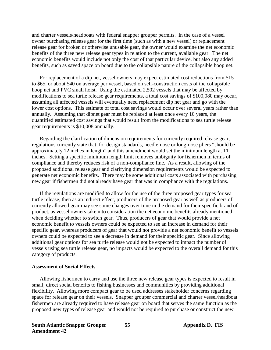and charter vessels/headboats with federal snapper grouper permits. In the case of a vessel owner purchasing release gear for the first time (such as with a new vessel) or replacement release gear for broken or otherwise unusable gear, the owner would examine the net economic benefits of the three new release gear types in relation to the current, available gear. The net economic benefits would include not only the cost of that particular device, but also any added benefits, such as saved space on board due to the collapsible nature of the collapsible hoop net.

For replacement of a dip net, vessel owners may expect estimated cost reductions from \$15 to \$65, or about \$40 on average per vessel, based on self-construction costs of the collapsible hoop net and PVC small hoist. Using the estimated 2,502 vessels that may be affected by modifications to sea turtle release gear requirements, a total cost savings of \$100,080 may occur, assuming all affected vessels will eventually need replacement dip net gear and go with the lower cost options. This estimate of total cost savings would occur over several years rather than annually. Assuming that dipnet gear must be replaced at least once every 10 years, the quantified estimated cost savings that would result from the modifications to sea turtle release gear requirements is \$10,008 annually.

Regarding the clarification of dimension requirements for currently required release gear, regulations currently state that, for design standards, needle-nose or long-nose pliers "should be approximately 12 inches in length" and this amendment would set the minimum length at 11 inches. Setting a specific minimum length limit removes ambiguity for fishermen in terms of compliance and thereby reduces risk of a non-compliance fine. As a result, allowing of the proposed additional release gear and clarifying dimension requirements would be expected to generate net economic benefits. There may be some additional costs associated with purchasing new gear if fishermen did not already have gear that was in compliance with the regulations.

If the regulations are modified to allow for the use of the three proposed gear types for sea turtle release, then as an indirect effect, producers of the proposed gear as well as producers of currently allowed gear may see some changes over time in the demand for their specific brand of product, as vessel owners take into consideration the net economic benefits already mentioned when deciding whether to switch gear. Thus, producers of gear that would provide a net economic benefit to vessels owners could be expected to see an increase in demand for their specific gear, whereas producers of gear that would not provide a net economic benefit to vessels owners could be expected to see a decrease in demand for their specific gear. Since allowing additional gear options for sea turtle release would not be expected to impact the number of vessels using sea turtle release gear, no impacts would be expected to the overall demand for this category of products.

#### **Assessment of Social Effects**

Allowing fishermen to carry and use the three new release gear types is expected to result in small, direct social benefits to fishing businesses and communities by providing additional flexibility. Allowing more compact gear to be used addresses stakeholder concerns regarding space for release gear on their vessels. Snapper grouper commercial and charter vessel/headboat fishermen are already required to have release gear on board that serves the same function as the proposed new types of release gear and would not be required to purchase or construct the new